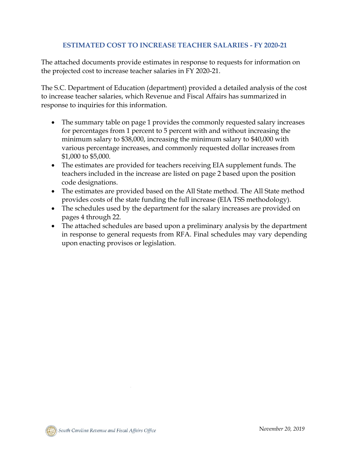# **ESTIMATED COST TO INCREASE TEACHER SALARIES - FY 2020-21**

The attached documents provide estimates in response to requests for information on the projected cost to increase teacher salaries in FY 2020-21.

The S.C. Department of Education (department) provided a detailed analysis of the cost to increase teacher salaries, which Revenue and Fiscal Affairs has summarized in response to inquiries for this information.

- The summary table on page 1 provides the commonly requested salary increases for percentages from 1 percent to 5 percent with and without increasing the minimum salary to \$38,000, increasing the minimum salary to \$40,000 with various percentage increases, and commonly requested dollar increases from \$1,000 to \$5,000.
- The estimates are provided for teachers receiving EIA supplement funds. The teachers included in the increase are listed on page 2 based upon the position code designations.
- The estimates are provided based on the All State method. The All State method provides costs of the state funding the full increase (EIA TSS methodology).
- The schedules used by the department for the salary increases are provided on pages 4 through 22.
- The attached schedules are based upon a preliminary analysis by the department in response to general requests from RFA. Final schedules may vary depending upon enacting provisos or legislation.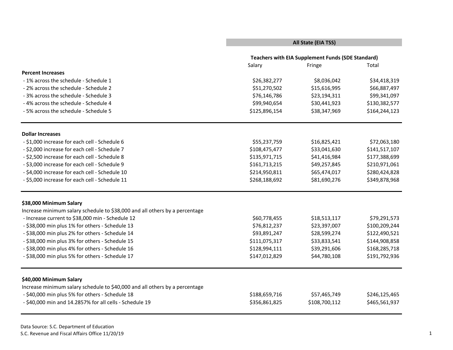### **All State (EIA TSS)**

|                                                                             |               | <b>Teachers with EIA Supplement Funds (SDE Standard)</b> |               |
|-----------------------------------------------------------------------------|---------------|----------------------------------------------------------|---------------|
|                                                                             | Salary        | Fringe                                                   | Total         |
| <b>Percent Increases</b>                                                    |               |                                                          |               |
| - 1% across the schedule - Schedule 1                                       | \$26,382,277  | \$8,036,042                                              | \$34,418,319  |
| - 2% across the schedule - Schedule 2                                       | \$51,270,502  | \$15,616,995                                             | \$66,887,497  |
| - 3% across the schedule - Schedule 3                                       | \$76,146,786  | \$23,194,311                                             | \$99,341,097  |
| -4% across the schedule - Schedule 4                                        | \$99,940,654  | \$30,441,923                                             | \$130,382,577 |
| - 5% across the schedule - Schedule 5                                       | \$125,896,154 | \$38,347,969                                             | \$164,244,123 |
| <b>Dollar Increases</b>                                                     |               |                                                          |               |
| - \$1,000 increase for each cell - Schedule 6                               | \$55,237,759  | \$16,825,421                                             | \$72,063,180  |
| - \$2,000 increase for each cell - Schedule 7                               | \$108,475,477 | \$33,041,630                                             | \$141,517,107 |
| - \$2,500 increase for each cell - Schedule 8                               | \$135,971,715 | \$41,416,984                                             | \$177,388,699 |
| - \$3,000 increase for each cell - Schedule 9                               | \$161,713,215 | \$49,257,845                                             | \$210,971,061 |
| - \$4,000 increase for each cell - Schedule 10                              | \$214,950,811 | \$65,474,017                                             | \$280,424,828 |
| - \$5,000 increase for each cell - Schedule 11                              | \$268,188,692 | \$81,690,276                                             | \$349,878,968 |
| \$38,000 Minimum Salary                                                     |               |                                                          |               |
| Increase minimum salary schedule to \$38,000 and all others by a percentage |               |                                                          |               |
| - Increase current to \$38,000 min - Schedule 12                            | \$60,778,455  | \$18,513,117                                             | \$79,291,573  |
| - \$38,000 min plus 1% for others - Schedule 13                             | \$76,812,237  | \$23,397,007                                             | \$100,209,244 |
| - \$38,000 min plus 2% for others - Schedule 14                             | \$93,891,247  | \$28,599,274                                             | \$122,490,521 |
| - \$38,000 min plus 3% for others - Schedule 15                             | \$111,075,317 | \$33,833,541                                             | \$144,908,858 |
| - \$38,000 min plus 4% for others - Schedule 16                             | \$128,994,111 | \$39,291,606                                             | \$168,285,718 |
| - \$38,000 min plus 5% for others - Schedule 17                             | \$147,012,829 | \$44,780,108                                             | \$191,792,936 |
| \$40,000 Minimum Salary                                                     |               |                                                          |               |
| Increase minimum salary schedule to \$40,000 and all others by a percentage |               |                                                          |               |
| - \$40,000 min plus 5% for others - Schedule 18                             | \$188,659,716 | \$57,465,749                                             | \$246,125,465 |
| - \$40,000 min and 14.2857% for all cells - Schedule 19                     | \$356,861,825 | \$108,700,112                                            | \$465,561,937 |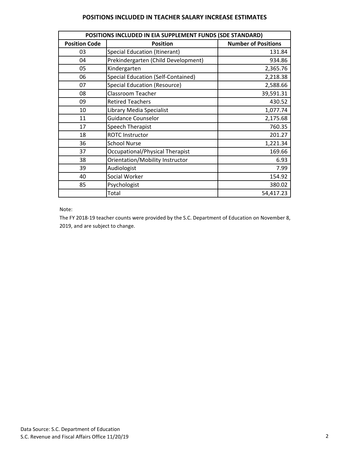#### **POSITIONS INCLUDED IN TEACHER SALARY INCREASE ESTIMATES**

| POSITIONS INCLUDED IN EIA SUPPLEMENT FUNDS (SDE STANDARD) |                                           |                            |  |  |  |  |  |  |  |  |
|-----------------------------------------------------------|-------------------------------------------|----------------------------|--|--|--|--|--|--|--|--|
| <b>Position Code</b>                                      | <b>Position</b>                           | <b>Number of Positions</b> |  |  |  |  |  |  |  |  |
| 03                                                        | <b>Special Education (Itinerant)</b>      | 131.84                     |  |  |  |  |  |  |  |  |
| 04                                                        | Prekindergarten (Child Development)       | 934.86                     |  |  |  |  |  |  |  |  |
| 05                                                        | Kindergarten                              | 2,365.76                   |  |  |  |  |  |  |  |  |
| 06                                                        | <b>Special Education (Self-Contained)</b> | 2,218.38                   |  |  |  |  |  |  |  |  |
| 07                                                        | <b>Special Education (Resource)</b>       | 2,588.66                   |  |  |  |  |  |  |  |  |
| 08                                                        | <b>Classroom Teacher</b>                  | 39,591.31                  |  |  |  |  |  |  |  |  |
| 09                                                        | <b>Retired Teachers</b>                   | 430.52                     |  |  |  |  |  |  |  |  |
| 10                                                        | Library Media Specialist                  | 1,077.74                   |  |  |  |  |  |  |  |  |
| 11                                                        | <b>Guidance Counselor</b>                 | 2,175.68                   |  |  |  |  |  |  |  |  |
| 17                                                        | Speech Therapist                          | 760.35                     |  |  |  |  |  |  |  |  |
| 18                                                        | <b>ROTC Instructor</b>                    | 201.27                     |  |  |  |  |  |  |  |  |
| 36                                                        | <b>School Nurse</b>                       | 1,221.34                   |  |  |  |  |  |  |  |  |
| 37                                                        | Occupational/Physical Therapist           | 169.66                     |  |  |  |  |  |  |  |  |
| 38                                                        | Orientation/Mobility Instructor           | 6.93                       |  |  |  |  |  |  |  |  |
| 39                                                        | Audiologist                               | 7.99                       |  |  |  |  |  |  |  |  |
| 40                                                        | Social Worker                             | 154.92                     |  |  |  |  |  |  |  |  |
| 85                                                        | Psychologist                              | 380.02                     |  |  |  |  |  |  |  |  |
|                                                           | Total                                     | 54,417.23                  |  |  |  |  |  |  |  |  |

Note:

The FY 2018-19 teacher counts were provided by the S.C. Department of Education on November 8, 2019, and are subject to change.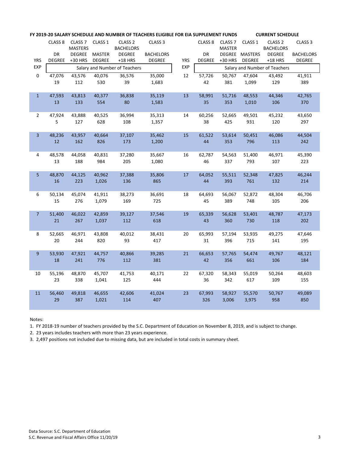|                |               |                         |               | FY 2019-20 SALARY SCHEDULE AND NUMBER OF TEACHERS ELIGIBLE FOR EIA SUPPLEMENT FUNDS |                    |            |                    |                    |                | <b>CURRENT SCHEDULE</b>       |                    |
|----------------|---------------|-------------------------|---------------|-------------------------------------------------------------------------------------|--------------------|------------|--------------------|--------------------|----------------|-------------------------------|--------------------|
|                |               | CLASS 8 CLASS 7 CLASS 1 |               | CLASS <sub>2</sub>                                                                  | CLASS <sub>3</sub> |            | CLASS <sub>8</sub> | CLASS <sub>7</sub> | CLASS 1        | CLASS <sub>2</sub>            | CLASS <sub>3</sub> |
|                |               | <b>MASTERS</b>          |               | <b>BACHELORS</b>                                                                    |                    |            |                    | <b>MASTER</b>      |                | <b>BACHELORS</b>              |                    |
|                | DR            | <b>DEGREE</b>           | <b>MASTER</b> | <b>DEGREE</b>                                                                       | <b>BACHELORS</b>   |            | <b>DR</b>          |                    | DEGREE MASTERS | <b>DEGREE</b>                 | <b>BACHELORS</b>   |
| <b>YRS</b>     | <b>DEGREE</b> | $+30$ HRS               | <b>DEGREE</b> | $+18$ HRS                                                                           | <b>DEGREE</b>      | <b>YRS</b> | <b>DEGREE</b>      | $+30$ HRS          | DEGREE         | $+18$ HRS                     | <b>DEGREE</b>      |
| <b>EXP</b>     |               |                         |               | Salary and Number of Teachers                                                       |                    | <b>EXP</b> |                    |                    |                | Salary and Number of Teachers |                    |
| $\mathbf 0$    | 47,076        | 43,576                  | 40,076        | 36,576                                                                              | 35,000             | 12         | 57,726             | 50,767             | 47,604         | 43,492                        | 41,911             |
|                | 19            | 112                     | 530           | 39                                                                                  | 1,683              |            | 42                 | 381                | 1,099          | 129                           | 389                |
| $\mathbf{1}$   | 47,593        | 43,813                  | 40,377        | 36,838                                                                              | 35,119             | 13         | 58,991             | 51,716             | 48,553         | 44,346                        | 42,765             |
|                | 13            | 133                     | 554           | 80                                                                                  | 1,583              |            | 35                 | 353                | 1,010          | 106                           | 370                |
|                |               |                         |               |                                                                                     |                    |            |                    |                    |                |                               |                    |
| $2^{\circ}$    | 47,924        | 43,888                  | 40,525        | 36,994                                                                              | 35,313             | 14         | 60,256             | 52,665             | 49,501         | 45,232                        | 43,650             |
|                | 5             | 127                     | 628           | 108                                                                                 | 1,357              |            | 38                 | 425                | 931            | 120                           | 297                |
|                |               |                         |               |                                                                                     |                    |            |                    |                    |                |                               |                    |
| $\overline{3}$ | 48,236        | 43,957                  | 40,664        | 37,107                                                                              | 35,462             | 15         | 61,522             | 53,614             | 50,451         | 46,086                        | 44,504             |
|                | 12            | 162                     | 826           | 173                                                                                 | 1,200              |            | 44                 | 353                | 796            | 113                           | 242                |
| 4              | 48,578        | 44,058                  | 40,831        | 37,280                                                                              | 35,667             | 16         | 62,787             | 54,563             | 51,400         | 46,971                        | 45,390             |
|                | 13            | 188                     | 984           | 205                                                                                 | 1,080              |            | 46                 | 337                | 793            | 107                           | 223                |
|                |               |                         |               |                                                                                     |                    |            |                    |                    |                |                               |                    |
| 5              | 48,870        | 44,125                  | 40,962        | 37,388                                                                              | 35,806             | 17         | 64,052             | 55,511             | 52,348         | 47,825                        | 46,244             |
|                | 16            | 223                     | 1,026         | 136                                                                                 | 865                |            | 44                 | 393                | 761            | 132                           | 214                |
|                |               |                         |               |                                                                                     |                    |            |                    |                    |                |                               |                    |
| 6              | 50,134        | 45,074                  | 41,911        | 38,273                                                                              | 36,691             | 18         | 64,693             | 56,067             | 52,872         | 48,304                        | 46,706             |
|                | 15            | 276                     | 1,079         | 169                                                                                 | 725                |            | 45                 | 389                | 748            | 105                           | 206                |
| 7 <sup>1</sup> | 51,400        | 46,022                  | 42,859        | 39,127                                                                              | 37,546             | 19         | 65,339             | 56,628             | 53,401         | 48,787                        | 47,173             |
|                | 21            | 267                     | 1,037         | 112                                                                                 | 618                |            | 43                 | 360                | 730            | 118                           | 202                |
|                |               |                         |               |                                                                                     |                    |            |                    |                    |                |                               |                    |
| 8              | 52,665        | 46,971                  | 43,808        | 40,012                                                                              | 38,431             | 20         | 65,993             | 57,194             | 53,935         | 49,275                        | 47,646             |
|                | 20            | 244                     | 820           | 93                                                                                  | 417                |            | 31                 |                    | 396 715        | 141                           | 195                |
|                |               |                         |               |                                                                                     |                    |            |                    |                    |                |                               |                    |
| 9              | 53,930        | 47,921                  | 44,757        | 40,866                                                                              | 39,285             | 21         | 66,653             | 57,765             | 54,474         | 49,767                        | 48,121             |
|                | 18            | 241                     | 776           | 112                                                                                 | 381                |            | 42                 | 356                | 661            | 106                           | 184                |
|                |               |                         |               |                                                                                     |                    |            |                    |                    |                |                               |                    |
| 10             | 55,196<br>23  | 48,870                  | 45,707        | 41,753<br>125                                                                       | 40,171<br>444      | 22         | 67,320<br>36       | 58,343<br>342      | 55,019<br>617  | 50,264<br>109                 | 48,603<br>155      |
|                |               | 338                     | 1,041         |                                                                                     |                    |            |                    |                    |                |                               |                    |
| 11             | 56,460        | 49,818                  | 46,655        | 42,606                                                                              | 41,024             | 23         | 67,993             | 58,927             | 55,570         | 50,767                        | 49,089             |
|                | 29            | 387                     | 1,021         | 114                                                                                 | 407                |            | 326                | 3,006              | 3,975          | 958                           | 850                |
|                |               |                         |               |                                                                                     |                    |            |                    |                    |                |                               |                    |

Notes:

1. FY 2018-19 number of teachers provided by the S.C. Department of Education on November 8, 2019, and is subject to change.

2. 23 years includes teachers with more than 23 years experience.

3. 2,497 positions not included due to missing data, but are included in total costs in summary sheet.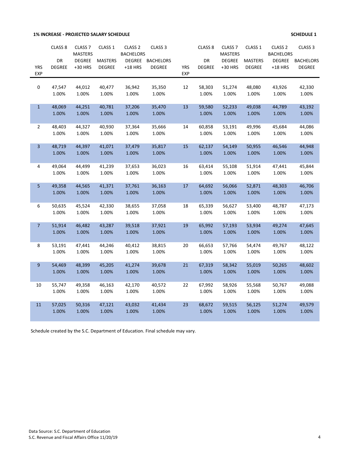**1% INCREASE - PROJECTED SALARY SCHEDULE 1 SCHEDULE 1** 

|                | CLASS <sub>8</sub> | CLASS <sub>7</sub><br><b>MASTERS</b> | CLASS 1        | CLASS <sub>2</sub><br><b>BACHELORS</b> | CLASS <sub>3</sub> |            | CLASS <sub>8</sub> | CLASS <sub>7</sub><br><b>MASTERS</b> | CLASS 1        | CLASS <sub>2</sub><br><b>BACHELORS</b> | CLASS <sub>3</sub> |
|----------------|--------------------|--------------------------------------|----------------|----------------------------------------|--------------------|------------|--------------------|--------------------------------------|----------------|----------------------------------------|--------------------|
|                | DR                 | <b>DEGREE</b>                        | <b>MASTERS</b> | <b>DEGREE</b>                          | <b>BACHELORS</b>   |            | DR                 | <b>DEGREE</b>                        | <b>MASTERS</b> | <b>DEGREE</b>                          | <b>BACHELORS</b>   |
| <b>YRS</b>     | <b>DEGREE</b>      | +30 HRS                              | <b>DEGREE</b>  | $+18$ HRS                              | <b>DEGREE</b>      | <b>YRS</b> | <b>DEGREE</b>      | +30 HRS                              | <b>DEGREE</b>  | $+18$ HRS                              | <b>DEGREE</b>      |
| <b>EXP</b>     |                    |                                      |                |                                        |                    | <b>EXP</b> |                    |                                      |                |                                        |                    |
| 0              | 47,547             | 44,012                               | 40,477         | 36,942                                 | 35,350             | 12         | 58,303             | 51,274                               | 48,080         | 43,926                                 | 42,330             |
|                | 1.00%              | 1.00%                                | 1.00%          | 1.00%                                  | 1.00%              |            | 1.00%              | 1.00%                                | 1.00%          | 1.00%                                  | 1.00%              |
| $\mathbf{1}$   | 48,069             | 44,251                               | 40,781         | 37,206                                 | 35,470             | 13         | 59,580             | 52,233                               | 49,038         | 44,789                                 | 43,192             |
|                | 1.00%              | 1.00%                                | 1.00%          | 1.00%                                  | 1.00%              |            | 1.00%              | 1.00%                                | 1.00%          | 1.00%                                  | 1.00%              |
| $\overline{2}$ | 48,403             | 44,327                               | 40,930         | 37,364                                 | 35,666             | 14         | 60,858             | 53,191                               | 49,996         | 45,684                                 | 44,086             |
|                | 1.00%              | 1.00%                                | 1.00%          | 1.00%                                  | 1.00%              |            | 1.00%              | 1.00%                                | 1.00%          | 1.00%                                  | 1.00%              |
| 3              | 48,719             | 44,397                               | 41,071         | 37,479                                 | 35,817             | 15         | 62,137             | 54,149                               | 50,955         | 46,546                                 | 44,948             |
|                | 1.00%              | 1.00%                                | 1.00%          | 1.00%                                  | 1.00%              |            | 1.00%              | 1.00%                                | 1.00%          | 1.00%                                  | 1.00%              |
| 4              | 49,064             | 44,499                               | 41,239         | 37,653                                 | 36,023             | 16         | 63,414             | 55,108                               | 51,914         | 47,441                                 | 45,844             |
|                | 1.00%              | 1.00%                                | 1.00%          | 1.00%                                  | 1.00%              |            | 1.00%              | 1.00%                                | 1.00%          | 1.00%                                  | 1.00%              |
| 5              | 49,358             | 44,565                               | 41,371         | 37,761                                 | 36,163             | 17         | 64,692             | 56,066                               | 52,871         | 48,303                                 | 46,706             |
|                | 1.00%              | 1.00%                                | 1.00%          | 1.00%                                  | 1.00%              |            | 1.00%              | 1.00%                                | 1.00%          | 1.00%                                  | 1.00%              |
| 6              | 50,635             | 45,524                               | 42,330         | 38,655                                 | 37,058             | 18         | 65,339             | 56,627                               | 53,400         | 48,787                                 | 47,173             |
|                | 1.00%              | 1.00%                                | 1.00%          | 1.00%                                  | 1.00%              |            | 1.00%              | 1.00%                                | 1.00%          | 1.00%                                  | 1.00%              |
| $\overline{7}$ | 51,914             | 46,482                               | 43,287         | 39,518                                 | 37,921             | 19         | 65,992             | 57,193                               | 53,934         | 49,274                                 | 47,645             |
|                | 1.00%              | 1.00%                                | 1.00%          | 1.00%                                  | 1.00%              |            | 1.00%              | 1.00%                                | 1.00%          | 1.00%                                  | 1.00%              |
| 8              | 53,191             | 47,441                               | 44,246         | 40,412                                 | 38,815             | 20         | 66,653             | 57,766                               | 54,474         | 49,767                                 | 48,122             |
|                | 1.00%              | 1.00%                                | 1.00%          | 1.00%                                  | 1.00%              |            | 1.00%              | 1.00%                                | 1.00%          | 1.00%                                  | 1.00%              |
| 9              | 54,469             | 48,399                               | 45,205         | 41,274                                 | 39,678             | 21         | 67,319             | 58,342                               | 55,019         | 50,265                                 | 48,602             |
|                | 1.00%              | 1.00%                                | 1.00%          | 1.00%                                  | 1.00%              |            | 1.00%              | 1.00%                                | 1.00%          | 1.00%                                  | 1.00%              |
| 10             | 55,747             | 49,358                               | 46,163         | 42,170                                 | 40,572             | 22         | 67,992             | 58,926                               | 55,568         | 50,767                                 | 49,088             |
|                | 1.00%              | 1.00%                                | 1.00%          | 1.00%                                  | 1.00%              |            | 1.00%              | 1.00%                                | 1.00%          | 1.00%                                  | 1.00%              |
| $11\,$         | 57,025             | 50,316                               | 47,121         | 43,032                                 | 41,434             | 23         | 68,672             | 59,515                               | 56,125         | 51,274                                 | 49,579             |
|                | 1.00%              | 1.00%                                | 1.00%          | 1.00%                                  | 1.00%              |            | 1.00%              | 1.00%                                | 1.00%          | 1.00%                                  | 1.00%              |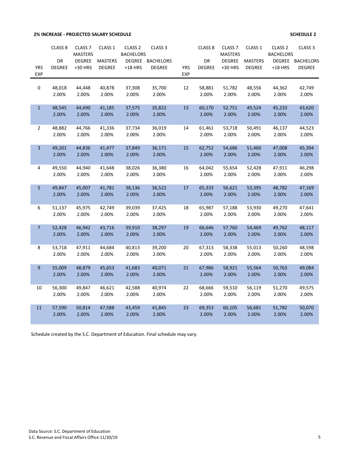# **2% INCREASE - PROJECTED SALARY SCHEDULE SCHEDULE 2**

|                | CLASS <sub>8</sub> | CLASS <sub>7</sub><br><b>MASTERS</b> | CLASS <sub>1</sub> | CLASS <sub>2</sub><br><b>BACHELORS</b> | CLASS <sub>3</sub> |            | CLASS <sub>8</sub> | CLASS <sub>7</sub><br><b>MASTERS</b> | CLASS <sub>1</sub> | CLASS <sub>2</sub><br><b>BACHELORS</b> | CLASS <sub>3</sub> |
|----------------|--------------------|--------------------------------------|--------------------|----------------------------------------|--------------------|------------|--------------------|--------------------------------------|--------------------|----------------------------------------|--------------------|
|                | DR                 | <b>DEGREE</b>                        | <b>MASTERS</b>     | <b>DEGREE</b>                          | <b>BACHELORS</b>   |            | DR                 | <b>DEGREE</b>                        | <b>MASTERS</b>     | <b>DEGREE</b>                          | <b>BACHELORS</b>   |
| <b>YRS</b>     | <b>DEGREE</b>      | +30 HRS                              | <b>DEGREE</b>      | $+18$ HRS                              | <b>DEGREE</b>      | <b>YRS</b> | <b>DEGREE</b>      | +30 HRS                              | <b>DEGREE</b>      | $+18$ HRS                              | <b>DEGREE</b>      |
| <b>EXP</b>     |                    |                                      |                    |                                        |                    | <b>EXP</b> |                    |                                      |                    |                                        |                    |
| 0              | 48,018             | 44,448                               | 40,878             | 37,308                                 | 35,700             | 12         | 58,881             | 51,782                               | 48,556             | 44,362                                 | 42,749             |
|                | 2.00%              | 2.00%                                | 2.00%              | 2.00%                                  | 2.00%              |            | 2.00%              | 2.00%                                | 2.00%              | 2.00%                                  | 2.00%              |
| $\mathbf{1}$   | 48,545             | 44,690                               | 41,185             | 37,575                                 | 35,822             | 13         | 60,170             | 52,751                               | 49,524             | 45,233                                 | 43,620             |
|                | 2.00%              | 2.00%                                | 2.00%              | 2.00%                                  | 2.00%              |            | 2.00%              | 2.00%                                | 2.00%              | 2.00%                                  | 2.00%              |
| $\overline{2}$ | 48,882             | 44,766                               | 41,336             | 37,734                                 | 36,019             | 14         | 61,461             | 53,718                               | 50,491             | 46,137                                 | 44,523             |
|                | 2.00%              | 2.00%                                | 2.00%              | 2.00%                                  | 2.00%              |            | 2.00%              | 2.00%                                | 2.00%              | 2.00%                                  | 2.00%              |
| $\overline{3}$ | 49,201             | 44,836                               | 41,477             | 37,849                                 | 36,171             | 15         | 62,752             | 54,686                               | 51,460             | 47,008                                 | 45,394             |
|                | 2.00%              | 2.00%                                | 2.00%              | 2.00%                                  | 2.00%              |            | 2.00%              | 2.00%                                | 2.00%              | 2.00%                                  | 2.00%              |
| 4              | 49,550             | 44,940                               | 41,648             | 38,026                                 | 36,380             | 16         | 64,042             | 55,654                               | 52,428             | 47,911                                 | 46,298             |
|                | 2.00%              | 2.00%                                | 2.00%              | 2.00%                                  | 2.00%              |            | 2.00%              | 2.00%                                | 2.00%              | 2.00%                                  | 2.00%              |
| 5              | 49,847             | 45,007                               | 41,781             | 38,136                                 | 36,522             | 17         | 65,333             | 56,621                               | 53,395             | 48,782                                 | 47,169             |
|                | 2.00%              | 2.00%                                | 2.00%              | 2.00%                                  | 2.00%              |            | 2.00%              | 2.00%                                | 2.00%              | 2.00%                                  | 2.00%              |
| 6              | 51,137             | 45,975                               | 42,749             | 39,039                                 | 37,425             | 18         | 65,987             | 57,188                               | 53,930             | 49,270                                 | 47,641             |
|                | 2.00%              | 2.00%                                | 2.00%              | 2.00%                                  | 2.00%              |            | 2.00%              | 2.00%                                | 2.00%              | 2.00%                                  | 2.00%              |
| $\overline{7}$ | 52,428             | 46,942                               | 43,716             | 39,910                                 | 38,297             | 19         | 66,646             | 57,760                               | 54,469             | 49,762                                 | 48,117             |
|                | 2.00%              | 2.00%                                | 2.00%              | 2.00%                                  | 2.00%              |            | 2.00%              | 2.00%                                | 2.00%              | 2.00%                                  | 2.00%              |
| 8              | 53,718             | 47,911                               | 44,684             | 40,813                                 | 39,200             | 20         | 67,313             | 58,338                               | 55,013             | 50,260                                 | 48,598             |
|                | 2.00%              | 2.00%                                | 2.00%              | 2.00%                                  | 2.00%              |            | 2.00%              | 2.00%                                | 2.00%              | 2.00%                                  | 2.00%              |
| $\overline{9}$ | 55,009             | 48,879                               | 45,653             | 41,683                                 | 40,071             | 21         | 67,986             | 58,921                               | 55,564             | 50,763                                 | 49,084             |
|                | 2.00%              | 2.00%                                | 2.00%              | 2.00%                                  | 2.00%              |            | 2.00%              | 2.00%                                | 2.00%              | 2.00%                                  | 2.00%              |
| 10             | 56,300             | 49,847                               | 46,621             | 42,588                                 | 40,974             | 22         | 68,666             | 59,510                               | 56,119             | 51,270                                 | 49,575             |
|                | 2.00%              | 2.00%                                | 2.00%              | 2.00%                                  | 2.00%              |            | 2.00%              | 2.00%                                | 2.00%              | 2.00%                                  | 2.00%              |
| 11             | 57,590             | 50,814                               | 47,588             | 43,459                                 | 41,845             | 23         | 69,353             | 60,105                               | 56,681             | 51,782                                 | 50,070             |
|                | 2.00%              | 2.00%                                | 2.00%              | 2.00%                                  | 2.00%              |            | 2.00%              | 2.00%                                | 2.00%              | 2.00%                                  | 2.00%              |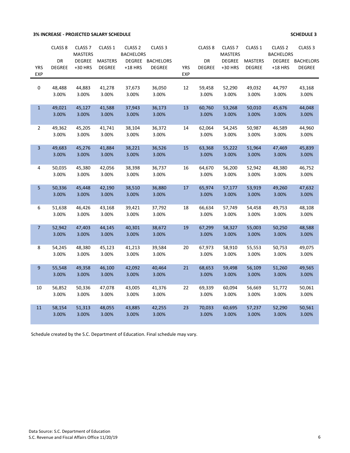### **3% INCREASE - PROJECTED SALARY SCHEDULE 1**

|                          | CLASS <sub>8</sub> | CLASS <sub>7</sub> | CLASS 1         | CLASS <sub>2</sub> | CLASS <sub>3</sub> |                          | CLASS <sub>8</sub> | CLASS <sub>7</sub> | CLASS <sub>1</sub> | CLASS <sub>2</sub> | CLASS <sub>3</sub> |
|--------------------------|--------------------|--------------------|-----------------|--------------------|--------------------|--------------------------|--------------------|--------------------|--------------------|--------------------|--------------------|
|                          |                    | <b>MASTERS</b>     |                 | <b>BACHELORS</b>   |                    |                          |                    | <b>MASTERS</b>     |                    | <b>BACHELORS</b>   |                    |
|                          | DR                 | <b>DEGREE</b>      | <b>MASTERS</b>  |                    | DEGREE BACHELORS   |                          | DR                 | <b>DEGREE</b>      | <b>MASTERS</b>     | <b>DEGREE</b>      | <b>BACHELORS</b>   |
| <b>YRS</b><br><b>EXP</b> | <b>DEGREE</b>      | +30 HRS            | <b>DEGREE</b>   | $+18$ HRS          | <b>DEGREE</b>      | <b>YRS</b><br><b>EXP</b> | <b>DEGREE</b>      | +30 HRS            | <b>DEGREE</b>      | $+18$ HRS          | <b>DEGREE</b>      |
|                          |                    |                    |                 |                    |                    |                          |                    |                    |                    |                    |                    |
| $\mathsf{O}$             | 48,488             | 44,883             | 41,278          | 37,673             | 36,050             | 12                       | 59,458             | 52,290             | 49,032             | 44,797             | 43,168             |
|                          | 3.00%              | 3.00%              | 3.00%           | 3.00%              | 3.00%              |                          | 3.00%              | 3.00%              | 3.00%              | 3.00%              | 3.00%              |
|                          |                    |                    |                 |                    |                    |                          |                    |                    |                    |                    |                    |
| $\mathbf{1}$             | 49,021             | 45,127             | 41,588          | 37,943             | 36,173             | 13                       | 60,760             | 53,268             | 50,010             | 45,676             | 44,048             |
|                          | 3.00%              | 3.00%              | 3.00%           | 3.00%              | 3.00%              |                          | 3.00%              | 3.00%              | 3.00%              | 3.00%              | 3.00%              |
|                          |                    |                    |                 |                    |                    |                          |                    |                    |                    |                    |                    |
| $\overline{2}$           | 49,362             | 45,205             | 41,741          | 38,104             | 36,372             | 14                       | 62,064             | 54,245             | 50,987             | 46,589             | 44,960             |
|                          | 3.00%              | 3.00%              | 3.00%           | 3.00%              | 3.00%              |                          | 3.00%              | 3.00%              | 3.00%              | 3.00%              | 3.00%              |
|                          |                    |                    |                 |                    |                    |                          |                    |                    |                    |                    |                    |
| 3                        | 49,683<br>3.00%    | 45,276<br>3.00%    | 41,884<br>3.00% | 38,221<br>3.00%    | 36,526<br>3.00%    | 15                       | 63,368<br>3.00%    | 55,222<br>3.00%    | 51,964<br>3.00%    | 47,469<br>3.00%    | 45,839<br>3.00%    |
|                          |                    |                    |                 |                    |                    |                          |                    |                    |                    |                    |                    |
| 4                        | 50,035             | 45,380             | 42,056          | 38,398             | 36,737             | 16                       | 64,670             | 56,200             | 52,942             | 48,380             | 46,752             |
|                          | 3.00%              | 3.00%              | 3.00%           | 3.00%              | 3.00%              |                          | 3.00%              | 3.00%              | 3.00%              | 3.00%              | 3.00%              |
|                          |                    |                    |                 |                    |                    |                          |                    |                    |                    |                    |                    |
| 5                        | 50,336             | 45,448             | 42,190          | 38,510             | 36,880             | 17                       | 65,974             | 57,177             | 53,919             | 49,260             | 47,632             |
|                          | 3.00%              | 3.00%              | 3.00%           | 3.00%              | 3.00%              |                          | 3.00%              | 3.00%              | 3.00%              | 3.00%              | 3.00%              |
|                          |                    |                    |                 |                    |                    |                          |                    |                    |                    |                    |                    |
| 6                        | 51,638             | 46,426             | 43,168          | 39,421             | 37,792             | 18                       | 66,634             | 57,749             | 54,458             | 49,753             | 48,108             |
|                          | 3.00%              | 3.00%              | 3.00%           | 3.00%              | 3.00%              |                          | 3.00%              | 3.00%              | 3.00%              | 3.00%              | 3.00%              |
|                          |                    |                    |                 |                    |                    |                          |                    |                    | 55,003             |                    | 48,588             |
| $\overline{7}$           | 52,942<br>3.00%    | 47,403<br>3.00%    | 44,145<br>3.00% | 40,301<br>3.00%    | 38,672<br>3.00%    | 19                       | 67,299<br>3.00%    | 58,327<br>3.00%    | 3.00%              | 50,250<br>3.00%    | 3.00%              |
|                          |                    |                    |                 |                    |                    |                          |                    |                    |                    |                    |                    |
| 8                        | 54,245             | 48,380             | 45,123          | 41,213             | 39,584             | 20                       | 67,973             | 58,910             | 55,553             | 50,753             | 49,075             |
|                          | 3.00%              | 3.00%              | 3.00%           | 3.00%              | 3.00%              |                          | 3.00%              | 3.00%              | 3.00%              | 3.00%              | 3.00%              |
|                          |                    |                    |                 |                    |                    |                          |                    |                    |                    |                    |                    |
| 9                        | 55,548             | 49,358             | 46,100          | 42,092             | 40,464             | 21                       | 68,653             | 59,498             | 56,109             | 51,260             | 49,565             |
|                          | 3.00%              | 3.00%              | 3.00%           | 3.00%              | 3.00%              |                          | 3.00%              | 3.00%              | 3.00%              | 3.00%              | 3.00%              |
|                          |                    |                    |                 |                    |                    |                          |                    |                    |                    |                    |                    |
| 10                       | 56,852             | 50,336             | 47,078          | 43,005             | 41,376             | 22                       | 69,339             | 60,094             | 56,669             | 51,772             | 50,061             |
|                          | 3.00%              | 3.00%              | 3.00%           | 3.00%              | 3.00%              |                          | 3.00%              | 3.00%              | 3.00%              | 3.00%              | 3.00%              |
|                          |                    |                    |                 |                    |                    |                          | 70,033             |                    |                    |                    |                    |
| 11                       | 58,154<br>3.00%    | 51,313<br>3.00%    | 48,055<br>3.00% | 43,885<br>3.00%    | 42,255<br>3.00%    | 23                       | 3.00%              | 60,695<br>3.00%    | 57,237<br>3.00%    | 52,290<br>3.00%    | 50,561<br>3.00%    |
|                          |                    |                    |                 |                    |                    |                          |                    |                    |                    |                    |                    |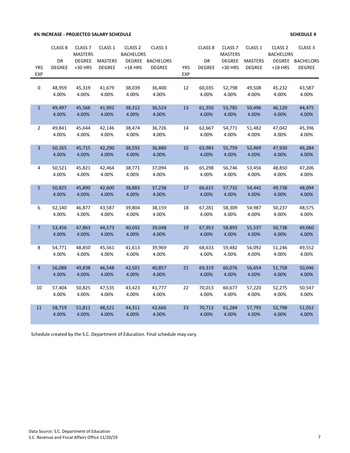#### **4% INCREASE - PROJECTED SALARY SCHEDULE 4**

|              | CLASS <sub>8</sub> | CLASS <sub>7</sub> | CLASS <sub>1</sub> | CLASS <sub>2</sub> | CLASS <sub>3</sub> |            | CLASS <sub>8</sub> | CLASS <sub>7</sub> | CLASS 1         | CLASS <sub>2</sub> | CLASS <sub>3</sub> |
|--------------|--------------------|--------------------|--------------------|--------------------|--------------------|------------|--------------------|--------------------|-----------------|--------------------|--------------------|
|              |                    | <b>MASTERS</b>     |                    | <b>BACHELORS</b>   |                    |            |                    | <b>MASTERS</b>     |                 | <b>BACHELORS</b>   |                    |
|              | DR                 | <b>DEGREE</b>      | <b>MASTERS</b>     | <b>DEGREE</b>      | <b>BACHELORS</b>   |            | DR                 | <b>DEGREE</b>      | <b>MASTERS</b>  | <b>DEGREE</b>      | <b>BACHELORS</b>   |
| <b>YRS</b>   | <b>DEGREE</b>      | +30 HRS            | <b>DEGREE</b>      | $+18$ HRS          | <b>DEGREE</b>      | <b>YRS</b> | <b>DEGREE</b>      | +30 HRS            | <b>DEGREE</b>   | $+18$ HRS          | <b>DEGREE</b>      |
| <b>EXP</b>   |                    |                    |                    |                    |                    | <b>EXP</b> |                    |                    |                 |                    |                    |
|              |                    |                    | 41,679             |                    |                    |            |                    |                    |                 |                    |                    |
| 0            | 48,959<br>4.00%    | 45,319<br>4.00%    | 4.00%              | 38,039<br>4.00%    | 36,400<br>4.00%    | 12         | 60,035<br>4.00%    | 52,798<br>4.00%    | 49,508<br>4.00% | 45,232<br>4.00%    | 43,587<br>4.00%    |
|              |                    |                    |                    |                    |                    |            |                    |                    |                 |                    |                    |
| $\mathbf{1}$ | 49,497             | 45,566             | 41,992             | 38,312             | 36,524             | 13         | 61,350             | 53,785             | 50,496          | 46,120             | 44,475             |
|              | 4.00%              | 4.00%              | 4.00%              | 4.00%              | 4.00%              |            | 4.00%              | 4.00%              | 4.00%           | 4.00%              | 4.00%              |
|              |                    |                    |                    |                    |                    |            |                    |                    |                 |                    |                    |
| 2            | 49,841             | 45,644             | 42,146             | 38,474             | 36,726             | 14         | 62,667             | 54,771             | 51,482          | 47,042             | 45,396             |
|              | 4.00%              | 4.00%              | 4.00%              | 4.00%              | 4.00%              |            | 4.00%              | 4.00%              | 4.00%           | 4.00%              | 4.00%              |
|              |                    |                    |                    |                    |                    |            |                    |                    |                 |                    |                    |
| 3            | 50,165<br>4.00%    | 45,715             | 42,290             | 38,592             | 36,880             | 15         | 63,983<br>4.00%    | 55,759<br>4.00%    | 52,469<br>4.00% | 47,930             | 46,284             |
|              |                    | 4.00%              | 4.00%              | 4.00%              | 4.00%              |            |                    |                    |                 | 4.00%              | 4.00%              |
| 4            | 50,521             | 45,821             | 42,464             | 38,771             | 37,094             | 16         | 65,298             | 56,746             | 53,456          | 48,850             | 47,206             |
|              | 4.00%              | 4.00%              | 4.00%              | 4.00%              | 4.00%              |            | 4.00%              | 4.00%              | 4.00%           | 4.00%              | 4.00%              |
|              |                    |                    |                    |                    |                    |            |                    |                    |                 |                    |                    |
| 5            | 50,825             | 45,890             | 42,600             | 38,883             | 37,238             | 17         | 66,615             | 57,732             | 54,442          | 49,738             | 48,094             |
|              | 4.00%              | 4.00%              | 4.00%              | 4.00%              | 4.00%              |            | 4.00%              | 4.00%              | 4.00%           | 4.00%              | 4.00%              |
|              |                    |                    |                    |                    |                    |            |                    |                    |                 |                    |                    |
| 6            | 52,140             | 46,877             | 43,587             | 39,804             | 38,159             | 18         | 67,281             | 58,309             | 54,987          | 50,237             | 48,575             |
|              | 4.00%              | 4.00%              | 4.00%              | 4.00%              | 4.00%              |            | 4.00%              | 4.00%              | 4.00%           | 4.00%              | 4.00%              |
| 7            | 53,456             | 47,863             | 44,573             | 40,692             | 39,048             | 19         | 67,953             | 58,893             | 55,537          | 50,738             | 49,060             |
|              | 4.00%              | 4.00%              | 4.00%              | 4.00%              | 4.00%              |            | 4.00%              | 4.00%              | 4.00%           | 4.00%              | 4.00%              |
|              |                    |                    |                    |                    |                    |            |                    |                    |                 |                    |                    |
| 8            | 54,771             | 48,850             | 45,561             | 41,613             | 39,969             | 20         | 68,633             | 59,482             | 56,092          | 51,246             | 49,552             |
|              | 4.00%              | 4.00%              | 4.00%              | 4.00%              | 4.00%              |            | 4.00%              | 4.00%              | 4.00%           | 4.00%              | 4.00%              |
|              |                    |                    |                    |                    |                    |            |                    |                    |                 |                    |                    |
| 9            | 56,088             | 49,838             | 46,548             | 42,501             | 40,857             | 21         | 69,319             | 60,076             | 56,654          | 51,758             | 50,046             |
|              | 4.00%              | 4.00%              | 4.00%              | 4.00%              | 4.00%              |            | 4.00%              | 4.00%              | 4.00%           | 4.00%              | 4.00%              |
|              |                    |                    |                    |                    |                    |            |                    |                    |                 |                    |                    |
| 10           | 57,404             | 50,825             | 47,535             | 43,423             | 41,777             | 22         | 70,013             | 60,677             | 57,220          | 52,275             | 50,547             |
|              | 4.00%              | 4.00%              | 4.00%              | 4.00%              | 4.00%              |            | 4.00%              | 4.00%              | 4.00%           | 4.00%              | 4.00%              |
| 11           | 58,719             | 51,811             | 48,521             | 44,311             | 42,666             | 23         | 70,713             | 61,284             | 57,793          | 52,798             | 51,052             |
|              | 4.00%              | 4.00%              | 4.00%              | 4.00%              | 4.00%              |            | 4.00%              | 4.00%              | 4.00%           | 4.00%              | 4.00%              |
|              |                    |                    |                    |                    |                    |            |                    |                    |                 |                    |                    |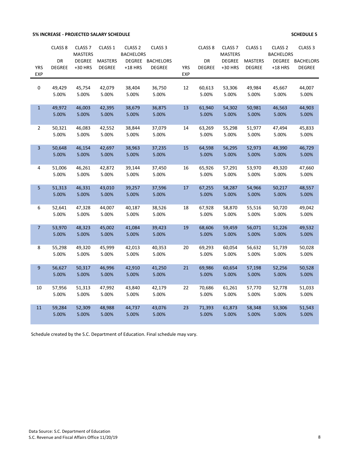### **5% INCREASE - PROJECTED SALARY SCHEDULE 6**

|                          | CLASS <sub>8</sub> | CLASS <sub>7</sub> | CLASS 1        | CLASS <sub>2</sub> | CLASS <sub>3</sub> |                          | CLASS <sub>8</sub> | CLASS <sub>7</sub> | CLASS <sub>1</sub> | CLASS <sub>2</sub> | CLASS <sub>3</sub> |
|--------------------------|--------------------|--------------------|----------------|--------------------|--------------------|--------------------------|--------------------|--------------------|--------------------|--------------------|--------------------|
|                          |                    | <b>MASTERS</b>     |                | <b>BACHELORS</b>   |                    |                          |                    | <b>MASTERS</b>     |                    | <b>BACHELORS</b>   |                    |
|                          | DR                 | <b>DEGREE</b>      | <b>MASTERS</b> | <b>DEGREE</b>      | <b>BACHELORS</b>   |                          | DR                 | <b>DEGREE</b>      | <b>MASTERS</b>     | <b>DEGREE</b>      | <b>BACHELORS</b>   |
| <b>YRS</b><br><b>EXP</b> | <b>DEGREE</b>      | +30 HRS            | <b>DEGREE</b>  | $+18$ HRS          | <b>DEGREE</b>      | <b>YRS</b><br><b>EXP</b> | <b>DEGREE</b>      | +30 HRS            | <b>DEGREE</b>      | $+18$ HRS          | <b>DEGREE</b>      |
|                          |                    |                    |                |                    |                    |                          |                    |                    |                    |                    |                    |
| 0                        | 49,429             | 45,754             | 42,079         | 38,404             | 36,750             | 12                       | 60,613             | 53,306             | 49,984             | 45,667             | 44,007             |
|                          | 5.00%              | 5.00%              | 5.00%          | 5.00%              | 5.00%              |                          | 5.00%              | 5.00%              | 5.00%              | 5.00%              | 5.00%              |
|                          |                    |                    |                |                    |                    |                          |                    |                    |                    |                    |                    |
| $\mathbf{1}$             | 49,972             | 46,003             | 42,395         | 38,679             | 36,875             | 13                       | 61,940             | 54,302             | 50,981             | 46,563             | 44,903             |
|                          | 5.00%              | 5.00%              | 5.00%          | 5.00%              | 5.00%              |                          | 5.00%              | 5.00%              | 5.00%              | 5.00%              | 5.00%              |
|                          |                    |                    |                |                    |                    |                          |                    |                    |                    |                    |                    |
| $\overline{2}$           | 50,321             | 46,083             | 42,552         | 38,844             | 37,079             | 14                       | 63,269             | 55,298             | 51,977             | 47,494             | 45,833             |
|                          | 5.00%              | 5.00%              | 5.00%          | 5.00%              | 5.00%              |                          | 5.00%              | 5.00%              | 5.00%              | 5.00%              | 5.00%              |
|                          |                    |                    |                |                    |                    |                          |                    |                    |                    |                    |                    |
| $\overline{3}$           | 50,648             | 46,154             | 42,697         | 38,963             | 37,235             | 15                       | 64,598             | 56,295             | 52,973             | 48,390             | 46,729             |
|                          | 5.00%              | 5.00%              | 5.00%          | 5.00%              | 5.00%              |                          | 5.00%              | 5.00%              | 5.00%              | 5.00%              | 5.00%              |
|                          |                    |                    |                |                    |                    |                          |                    |                    |                    |                    |                    |
| 4                        | 51,006             | 46,261             | 42,872         | 39,144             | 37,450             | 16                       | 65,926             | 57,291             | 53,970             | 49,320             | 47,660             |
|                          | 5.00%              | 5.00%              | 5.00%          | 5.00%              | 5.00%              |                          | 5.00%              | 5.00%              | 5.00%              | 5.00%              | 5.00%              |
| 5                        | 51,313             | 46,331             | 43,010         | 39,257             | 37,596             | 17                       | 67,255             | 58,287             | 54,966             | 50,217             | 48,557             |
|                          | 5.00%              | 5.00%              | 5.00%          | 5.00%              | 5.00%              |                          | 5.00%              | 5.00%              | 5.00%              | 5.00%              | 5.00%              |
|                          |                    |                    |                |                    |                    |                          |                    |                    |                    |                    |                    |
| 6                        | 52,641             | 47,328             | 44,007         | 40,187             | 38,526             | 18                       | 67,928             | 58,870             | 55,516             | 50,720             | 49,042             |
|                          | 5.00%              | 5.00%              | 5.00%          | 5.00%              | 5.00%              |                          | 5.00%              | 5.00%              | 5.00%              | 5.00%              | 5.00%              |
|                          |                    |                    |                |                    |                    |                          |                    |                    |                    |                    |                    |
| $\overline{7}$           | 53,970             | 48,323             | 45,002         | 41,084             | 39,423             | 19                       | 68,606             | 59,459             | 56,071             | 51,226             | 49,532             |
|                          | 5.00%              | 5.00%              | 5.00%          | 5.00%              | 5.00%              |                          | 5.00%              | 5.00%              | 5.00%              | 5.00%              | 5.00%              |
|                          |                    |                    |                |                    |                    |                          |                    |                    |                    |                    |                    |
| 8                        | 55,298             | 49,320             | 45,999         | 42,013             | 40,353             | 20                       | 69,293             | 60,054             | 56,632             | 51,739             | 50,028             |
|                          | 5.00%              | 5.00%              | 5.00%          | 5.00%              | 5.00%              |                          | 5.00%              | 5.00%              | 5.00%              | 5.00%              | 5.00%              |
|                          |                    |                    |                |                    |                    |                          |                    |                    |                    |                    |                    |
| $9\,$                    | 56,627             | 50,317             | 46,996         | 42,910             | 41,250             | 21                       | 69,986             | 60,654             | 57,198             | 52,256             | 50,528             |
|                          | 5.00%              | 5.00%              | 5.00%          | 5.00%              | 5.00%              |                          | 5.00%              | 5.00%              | 5.00%              | 5.00%              | 5.00%              |
| 10                       | 57,956             | 51,313             | 47,992         | 43,840             | 42,179             | 22                       | 70,686             | 61,261             | 57,770             | 52,778             | 51,033             |
|                          | 5.00%              | 5.00%              | 5.00%          | 5.00%              | 5.00%              |                          | 5.00%              | 5.00%              | 5.00%              | 5.00%              | 5.00%              |
|                          |                    |                    |                |                    |                    |                          |                    |                    |                    |                    |                    |
| 11                       | 59,284             | 52,309             | 48,988         | 44,737             | 43,076             | 23                       | 71,393             | 61,873             | 58,348             | 53,306             | 51,543             |
|                          | 5.00%              | 5.00%              | 5.00%          | 5.00%              | 5.00%              |                          | 5.00%              | 5.00%              | 5.00%              | 5.00%              | 5.00%              |
|                          |                    |                    |                |                    |                    |                          |                    |                    |                    |                    |                    |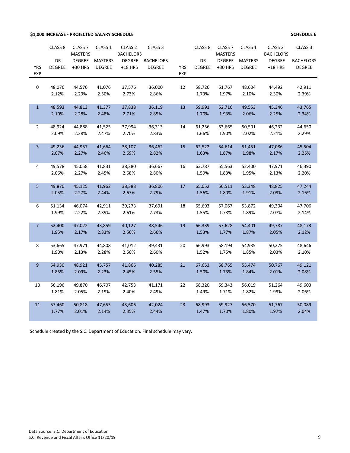### **\$1,000 INCREASE - PROJECTED SALARY SCHEDULE SCHEDULE 6**

|                | CLASS <sub>8</sub> | CLASS <sub>7</sub>              | CLASS 1        | CLASS <sub>2</sub>                | CLASS <sub>3</sub> |            | CLASS <sub>8</sub> | CLASS <sub>7</sub>              | CLASS 1        | CLASS <sub>2</sub>                | CLASS <sub>3</sub> |
|----------------|--------------------|---------------------------------|----------------|-----------------------------------|--------------------|------------|--------------------|---------------------------------|----------------|-----------------------------------|--------------------|
|                | DR                 | <b>MASTERS</b><br><b>DEGREE</b> | <b>MASTERS</b> | <b>BACHELORS</b><br><b>DEGREE</b> | <b>BACHELORS</b>   |            | <b>DR</b>          | <b>MASTERS</b><br><b>DEGREE</b> | <b>MASTERS</b> | <b>BACHELORS</b><br><b>DEGREE</b> | <b>BACHELORS</b>   |
| <b>YRS</b>     | <b>DEGREE</b>      | +30 HRS                         | <b>DEGREE</b>  | $+18$ HRS                         | <b>DEGREE</b>      | <b>YRS</b> | <b>DEGREE</b>      | +30 HRS                         | <b>DEGREE</b>  | $+18$ HRS                         | <b>DEGREE</b>      |
| <b>EXP</b>     |                    |                                 |                |                                   |                    | <b>EXP</b> |                    |                                 |                |                                   |                    |
|                |                    |                                 |                |                                   |                    |            |                    |                                 |                |                                   |                    |
| $\mathbf 0$    | 48,076             | 44,576                          | 41,076         | 37,576                            | 36,000             | 12         | 58,726             | 51,767                          | 48,604         | 44,492                            | 42,911             |
|                | 2.12%              | 2.29%                           | 2.50%          | 2.73%                             | 2.86%              |            | 1.73%              | 1.97%                           | 2.10%          | 2.30%                             | 2.39%              |
|                |                    |                                 |                |                                   |                    |            |                    |                                 |                |                                   |                    |
| 1              | 48,593             | 44,813                          | 41,377         | 37,838                            | 36,119             | 13         | 59,991             | 52,716                          | 49,553         | 45,346                            | 43,765             |
|                | 2.10%              | 2.28%                           | 2.48%          | 2.71%                             | 2.85%              |            | 1.70%              | 1.93%                           | 2.06%          | 2.25%                             | 2.34%              |
|                |                    |                                 |                |                                   |                    |            |                    |                                 |                |                                   |                    |
| $\overline{2}$ | 48,924             | 44,888                          | 41,525         | 37,994                            | 36,313             | 14         | 61,256             | 53,665                          | 50,501         | 46,232                            | 44,650             |
|                | 2.09%              | 2.28%                           | 2.47%          | 2.70%                             | 2.83%              |            | 1.66%              | 1.90%                           | 2.02%          | 2.21%                             | 2.29%              |
|                |                    |                                 |                |                                   |                    |            |                    |                                 |                |                                   |                    |
| 3              | 49,236             | 44,957                          | 41,664         | 38,107                            | 36,462             | 15         | 62,522             | 54,614                          | 51,451         | 47,086                            | 45,504             |
|                | 2.07%              | 2.27%                           | 2.46%          | 2.69%                             | 2.82%              |            | 1.63%              | 1.87%                           | 1.98%          | 2.17%                             | 2.25%              |
|                |                    |                                 |                |                                   |                    |            |                    |                                 |                |                                   |                    |
| $\overline{4}$ | 49,578             | 45,058                          | 41,831         | 38,280                            | 36,667             | 16         | 63,787             | 55,563                          | 52,400         | 47,971                            | 46,390             |
|                | 2.06%              | 2.27%                           | 2.45%          | 2.68%                             | 2.80%              |            | 1.59%              | 1.83%                           | 1.95%          | 2.13%                             | 2.20%              |
|                |                    |                                 |                |                                   |                    |            |                    |                                 |                |                                   |                    |
| 5              | 49,870             | 45,125                          | 41,962         | 38,388                            | 36,806             | 17         | 65,052             | 56,511                          | 53,348         | 48,825                            | 47,244             |
|                | 2.05%              | 2.27%                           | 2.44%          | 2.67%                             | 2.79%              |            | 1.56%              | 1.80%                           | 1.91%          | 2.09%                             | 2.16%              |
|                |                    |                                 |                |                                   |                    |            |                    |                                 |                |                                   |                    |
| 6              | 51,134             | 46,074                          | 42,911         | 39,273                            | 37,691             | 18         | 65,693             | 57,067                          | 53,872         | 49,304                            | 47,706             |
|                | 1.99%              | 2.22%                           | 2.39%          | 2.61%                             | 2.73%              |            | 1.55%              | 1.78%                           | 1.89%          | 2.07%                             | 2.14%              |
|                |                    |                                 |                |                                   |                    |            |                    |                                 |                |                                   |                    |
| 7 <sup>1</sup> | 52,400             | 47,022                          | 43,859         | 40,127                            | 38,546             | 19         | 66,339             | 57,628                          | 54,401         | 49,787                            | 48,173             |
|                | 1.95%              | 2.17%                           | 2.33%          | 2.56%                             | 2.66%              |            | 1.53%              | 1.77%                           | 1.87%          | 2.05%                             | 2.12%              |
| 8              | 53,665             | 47,971                          | 44,808         | 41,012                            | 39,431             | 20         | 66,993             | 58,194                          | 54,935         | 50,275                            | 48,646             |
|                | 1.90%              | 2.13%                           | 2.28%          | 2.50%                             | 2.60%              |            | 1.52%              | 1.75%                           | 1.85%          | 2.03%                             | 2.10%              |
|                |                    |                                 |                |                                   |                    |            |                    |                                 |                |                                   |                    |
| 9              | 54,930             | 48,921                          | 45,757         | 41,866                            | 40,285             | 21         | 67,653             | 58,765                          | 55,474         | 50,767                            | 49,121             |
|                | 1.85%              | 2.09%                           | 2.23%          | 2.45%                             | 2.55%              |            | 1.50%              | 1.73%                           | 1.84%          | 2.01%                             | 2.08%              |
|                |                    |                                 |                |                                   |                    |            |                    |                                 |                |                                   |                    |
| 10             | 56,196             | 49,870                          | 46,707         | 42,753                            | 41,171             | 22         | 68,320             | 59,343                          | 56,019         | 51,264                            | 49,603             |
|                | 1.81%              | 2.05%                           | 2.19%          | 2.40%                             | 2.49%              |            | 1.49%              | 1.71%                           | 1.82%          | 1.99%                             | 2.06%              |
|                |                    |                                 |                |                                   |                    |            |                    |                                 |                |                                   |                    |
| 11             | 57,460             | 50,818                          | 47,655         | 43,606                            | 42,024             | 23         | 68,993             | 59,927                          | 56,570         | 51,767                            | 50,089             |
|                | 1.77%              | 2.01%                           | 2.14%          | 2.35%                             | 2.44%              |            | 1.47%              | 1.70%                           | 1.80%          | 1.97%                             | 2.04%              |
|                |                    |                                 |                |                                   |                    |            |                    |                                 |                |                                   |                    |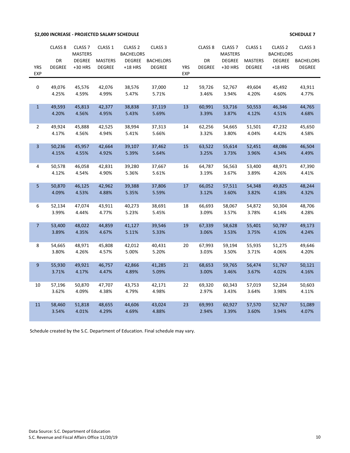**\$2,000 INCREASE - PROJECTED SALARY SCHEDULE SCHEDULE 7**

|                         | CLASS <sub>8</sub> | CLASS <sub>7</sub><br><b>MASTERS</b> | CLASS 1        | CLASS <sub>2</sub><br><b>BACHELORS</b> | CLASS <sub>3</sub> |            | CLASS <sub>8</sub> | CLASS <sub>7</sub><br><b>MASTERS</b> | CLASS 1        | CLASS <sub>2</sub><br><b>BACHELORS</b> | CLASS <sub>3</sub> |
|-------------------------|--------------------|--------------------------------------|----------------|----------------------------------------|--------------------|------------|--------------------|--------------------------------------|----------------|----------------------------------------|--------------------|
|                         | DR                 | <b>DEGREE</b>                        | <b>MASTERS</b> | <b>DEGREE</b>                          | <b>BACHELORS</b>   |            | DR                 | <b>DEGREE</b>                        | <b>MASTERS</b> | <b>DEGREE</b>                          | <b>BACHELORS</b>   |
| <b>YRS</b>              | <b>DEGREE</b>      | +30 HRS                              | <b>DEGREE</b>  | $+18$ HRS                              | <b>DEGREE</b>      | <b>YRS</b> | <b>DEGREE</b>      | +30 HRS                              | <b>DEGREE</b>  | $+18$ HRS                              | <b>DEGREE</b>      |
| <b>EXP</b>              |                    |                                      |                |                                        |                    | <b>EXP</b> |                    |                                      |                |                                        |                    |
|                         |                    |                                      |                |                                        |                    |            |                    |                                      |                |                                        |                    |
| $\boldsymbol{0}$        | 49,076             | 45,576                               | 42,076         | 38,576                                 | 37,000             | 12         | 59,726             | 52,767                               | 49,604         | 45,492                                 | 43,911             |
|                         | 4.25%              | 4.59%                                | 4.99%          | 5.47%                                  | 5.71%              |            | 3.46%              | 3.94%                                | 4.20%          | 4.60%                                  | 4.77%              |
| $\mathbf{1}$            | 49,593             | 45,813                               | 42,377         | 38,838                                 | 37,119             | 13         | 60,991             | 53,716                               | 50,553         | 46,346                                 | 44,765             |
|                         | 4.20%              | 4.56%                                | 4.95%          | 5.43%                                  | 5.69%              |            | 3.39%              | 3.87%                                | 4.12%          | 4.51%                                  | 4.68%              |
|                         |                    |                                      |                |                                        |                    |            |                    |                                      |                |                                        |                    |
| $\overline{2}$          | 49,924             | 45,888                               | 42,525         | 38,994                                 | 37,313             | 14         | 62,256             | 54,665                               | 51,501         | 47,232                                 | 45,650             |
|                         | 4.17%              | 4.56%                                | 4.94%          | 5.41%                                  | 5.66%              |            | 3.32%              | 3.80%                                | 4.04%          | 4.42%                                  | 4.58%              |
| $\overline{\mathbf{3}}$ | 50,236             | 45,957                               | 42,664         | 39,107                                 | 37,462             | 15         | 63,522             | 55,614                               | 52,451         | 48,086                                 | 46,504             |
|                         | 4.15%              | 4.55%                                | 4.92%          | 5.39%                                  | 5.64%              |            | 3.25%              | 3.73%                                | 3.96%          | 4.34%                                  | 4.49%              |
|                         |                    |                                      |                |                                        |                    |            |                    |                                      |                |                                        |                    |
| 4                       | 50,578             | 46,058                               | 42,831         | 39,280                                 | 37,667             | 16         | 64,787             | 56,563                               | 53,400         | 48,971                                 | 47,390             |
|                         | 4.12%              | 4.54%                                | 4.90%          | 5.36%                                  | 5.61%              |            | 3.19%              | 3.67%                                | 3.89%          | 4.26%                                  | 4.41%              |
| 5                       | 50,870             | 46,125                               | 42,962         | 39,388                                 | 37,806             | 17         | 66,052             | 57,511                               | 54,348         | 49,825                                 | 48,244             |
|                         | 4.09%              | 4.53%                                | 4.88%          | 5.35%                                  | 5.59%              |            | 3.12%              | 3.60%                                | 3.82%          | 4.18%                                  | 4.32%              |
|                         |                    |                                      |                |                                        |                    |            |                    |                                      |                |                                        |                    |
| 6                       | 52,134             | 47,074                               | 43,911         | 40,273                                 | 38,691             | 18         | 66,693             | 58,067                               | 54,872         | 50,304                                 | 48,706             |
|                         | 3.99%              | 4.44%                                | 4.77%          | 5.23%                                  | 5.45%              |            | 3.09%              | 3.57%                                | 3.78%          | 4.14%                                  | 4.28%              |
|                         |                    |                                      |                |                                        |                    |            |                    |                                      |                |                                        |                    |
| $\overline{7}$          | 53,400             | 48,022                               | 44,859         | 41,127                                 | 39,546             | 19         | 67,339             | 58,628                               | 55,401         | 50,787                                 | 49,173             |
|                         | 3.89%              | 4.35%                                | 4.67%          | 5.11%                                  | 5.33%              |            | 3.06%              | 3.53%                                | 3.75%          | 4.10%                                  | 4.24%              |
| 8                       | 54,665             | 48,971                               | 45,808         | 42,012                                 | 40,431             | 20         | 67,993             | 59,194                               | 55,935         | 51,275                                 | 49,646             |
|                         | 3.80%              | 4.26%                                | 4.57%          | 5.00%                                  | 5.20%              |            | 3.03%              | 3.50%                                | 3.71%          | 4.06%                                  | 4.20%              |
|                         |                    |                                      |                |                                        |                    |            |                    |                                      |                |                                        |                    |
| $9\,$                   | 55,930             | 49,921                               | 46,757         | 42,866                                 | 41,285             | 21         | 68,653             | 59,765                               | 56,474         | 51,767                                 | 50,121             |
|                         | 3.71%              | 4.17%                                | 4.47%          | 4.89%                                  | 5.09%              |            | 3.00%              | 3.46%                                | 3.67%          | 4.02%                                  | 4.16%              |
| 10                      | 57,196             | 50,870                               | 47,707         | 43,753                                 | 42,171             | 22         | 69,320             | 60,343                               | 57,019         | 52,264                                 | 50,603             |
|                         | 3.62%              | 4.09%                                | 4.38%          | 4.79%                                  | 4.98%              |            | 2.97%              | 3.43%                                | 3.64%          | 3.98%                                  | 4.11%              |
|                         |                    |                                      |                |                                        |                    |            |                    |                                      |                |                                        |                    |
| 11                      | 58,460             | 51,818                               | 48,655         | 44,606                                 | 43,024             | 23         | 69,993             | 60,927                               | 57,570         | 52,767                                 | 51,089             |
|                         | 3.54%              | 4.01%                                | 4.29%          | 4.69%                                  | 4.88%              |            | 2.94%              | 3.39%                                | 3.60%          | 3.94%                                  | 4.07%              |
|                         |                    |                                      |                |                                        |                    |            |                    |                                      |                |                                        |                    |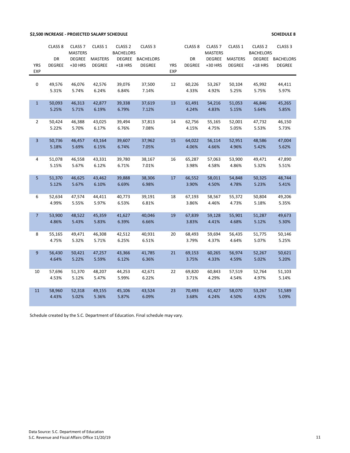### **\$2,500 INCREASE - PROJECTED SALARY SCHEDULE SCHEDULE 8**

|                | CLASS <sub>8</sub> | CLASS <sub>7</sub> | CLASS 1        | CLASS <sub>2</sub> | CLASS <sub>3</sub> |            | CLASS <sub>8</sub> | CLASS <sub>7</sub> | CLASS 1        | CLASS <sub>2</sub> | CLASS <sub>3</sub> |
|----------------|--------------------|--------------------|----------------|--------------------|--------------------|------------|--------------------|--------------------|----------------|--------------------|--------------------|
|                |                    | <b>MASTERS</b>     |                | <b>BACHELORS</b>   |                    |            |                    | <b>MASTERS</b>     |                | <b>BACHELORS</b>   |                    |
|                | DR                 | <b>DEGREE</b>      | <b>MASTERS</b> | <b>DEGREE</b>      | <b>BACHELORS</b>   |            | DR                 | <b>DEGREE</b>      | <b>MASTERS</b> | <b>DEGREE</b>      | <b>BACHELORS</b>   |
| <b>YRS</b>     | <b>DEGREE</b>      | +30 HRS            | <b>DEGREE</b>  | $+18$ HRS          | <b>DEGREE</b>      | <b>YRS</b> | <b>DEGREE</b>      | +30 HRS            | <b>DEGREE</b>  | $+18$ HRS          | <b>DEGREE</b>      |
| <b>EXP</b>     |                    |                    |                |                    |                    | <b>EXP</b> |                    |                    |                |                    |                    |
|                |                    |                    |                |                    |                    |            |                    |                    |                |                    |                    |
| 0              | 49,576             | 46,076             | 42,576         | 39,076             | 37,500             | 12         | 60,226             | 53,267             | 50,104         | 45,992             | 44,411             |
|                | 5.31%              | 5.74%              | 6.24%          | 6.84%              | 7.14%              |            | 4.33%              | 4.92%              | 5.25%          | 5.75%              | 5.97%              |
|                |                    |                    |                |                    |                    |            |                    |                    |                |                    |                    |
| $\mathbf{1}$   | 50,093             | 46,313             | 42,877         | 39,338             | 37,619             | 13         | 61,491             | 54,216             | 51,053         | 46,846             | 45,265             |
|                | 5.25%              | 5.71%              | 6.19%          | 6.79%              | 7.12%              |            | 4.24%              | 4.83%              | 5.15%          | 5.64%              | 5.85%              |
|                |                    |                    |                |                    |                    |            |                    |                    |                |                    |                    |
| $\overline{2}$ | 50,424             | 46,388             | 43,025         | 39,494             | 37,813             | 14         | 62,756             | 55,165             | 52,001         | 47,732             | 46,150             |
|                | 5.22%              | 5.70%              | 6.17%          | 6.76%              | 7.08%              |            | 4.15%              | 4.75%              | 5.05%          | 5.53%              | 5.73%              |
|                |                    |                    |                |                    |                    |            |                    |                    |                |                    |                    |
| $\overline{3}$ | 50,736             | 46,457             | 43,164         | 39,607             | 37,962             | 15         | 64,022             | 56,114             | 52,951         | 48,586             | 47,004             |
|                | 5.18%              | 5.69%              | 6.15%          | 6.74%              | 7.05%              |            | 4.06%              | 4.66%              | 4.96%          | 5.42%              | 5.62%              |
|                |                    |                    |                |                    |                    |            |                    |                    |                |                    |                    |
| 4              | 51,078             | 46,558             | 43,331         | 39,780             | 38,167             | 16         | 65,287             | 57,063             | 53,900         | 49,471             | 47,890             |
|                | 5.15%              | 5.67%              | 6.12%          | 6.71%              | 7.01%              |            | 3.98%              | 4.58%              | 4.86%          | 5.32%              | 5.51%              |
|                |                    |                    |                |                    |                    |            |                    |                    |                |                    |                    |
| 5              | 51,370             | 46,625             | 43,462         | 39,888             | 38,306             | 17         | 66,552             | 58,011             | 54,848         | 50,325             | 48,744             |
|                | 5.12%              | 5.67%              | 6.10%          | 6.69%              | 6.98%              |            | 3.90%              | 4.50%              | 4.78%          | 5.23%              | 5.41%              |
|                |                    |                    |                |                    |                    |            |                    |                    |                |                    |                    |
| 6              | 52,634             | 47,574             | 44,411         | 40,773             | 39,191             | 18         | 67,193             | 58,567             | 55,372         | 50,804             | 49,206             |
|                | 4.99%              | 5.55%              | 5.97%          | 6.53%              | 6.81%              |            | 3.86%              | 4.46%              | 4.73%          | 5.18%              | 5.35%              |
|                |                    |                    |                |                    |                    |            |                    |                    |                |                    |                    |
| 7 <sup>1</sup> | 53,900             | 48,522             | 45,359         | 41,627             | 40,046             | 19         | 67,839             | 59,128             | 55,901         | 51,287             | 49,673             |
|                | 4.86%              | 5.43%              | 5.83%          | 6.39%              | 6.66%              |            | 3.83%              | 4.41%              | 4.68%          | 5.12%              | 5.30%              |
|                |                    |                    |                |                    |                    |            |                    |                    |                |                    |                    |
| 8              | 55,165             | 49,471             | 46,308         | 42,512             | 40,931             | 20         | 68,493             | 59,694             | 56,435         | 51,775             | 50,146             |
|                | 4.75%              | 5.32%              | 5.71%          | 6.25%              | 6.51%              |            | 3.79%              | 4.37%              | 4.64%          | 5.07%              | 5.25%              |
|                |                    |                    |                |                    |                    |            |                    |                    |                |                    |                    |
| $\overline{9}$ | 56,430             | 50,421             | 47,257         | 43,366             | 41,785             | 21         | 69,153             | 60,265             | 56,974         | 52,267             | 50,621             |
|                | 4.64%              | 5.22%              | 5.59%          | 6.12%              | 6.36%              |            | 3.75%              | 4.33%              | 4.59%          | 5.02%              | 5.20%              |
|                |                    |                    |                |                    |                    |            |                    |                    |                |                    |                    |
| 10             | 57,696             | 51,370             | 48,207         | 44,253             | 42,671             | 22         | 69,820             | 60,843             | 57,519         | 52,764             | 51,103             |
|                | 4.53%              | 5.12%              | 5.47%          | 5.99%              | 6.22%              |            | 3.71%              | 4.29%              | 4.54%          | 4.97%              | 5.14%              |
|                |                    |                    |                |                    |                    |            |                    |                    |                |                    |                    |
| 11             | 58,960             | 52,318             | 49,155         | 45,106             | 43,524             | 23         | 70,493             | 61,427             | 58,070         | 53,267             | 51,589             |
|                | 4.43%              | 5.02%              | 5.36%          | 5.87%              | 6.09%              |            | 3.68%              | 4.24%              | 4.50%          | 4.92%              | 5.09%              |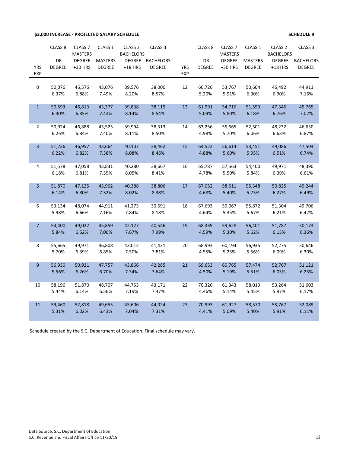### **\$3,000 INCREASE - PROJECTED SALARY SCHEDULE SCHEDULE 9**

|                          | CLASS <sub>8</sub><br><b>DR</b> | CLASS <sub>7</sub><br><b>MASTERS</b><br><b>DEGREE</b> | CLASS 1<br><b>MASTERS</b> | CLASS <sub>2</sub><br><b>BACHELORS</b><br><b>DEGREE</b> | CLASS <sub>3</sub><br><b>BACHELORS</b> |                          | CLASS <sub>8</sub><br>DR | CLASS <sub>7</sub><br><b>MASTERS</b><br><b>DEGREE</b> | CLASS 1<br><b>MASTERS</b> | CLASS <sub>2</sub><br><b>BACHELORS</b><br><b>DEGREE</b> | CLASS <sub>3</sub><br><b>BACHELORS</b> |
|--------------------------|---------------------------------|-------------------------------------------------------|---------------------------|---------------------------------------------------------|----------------------------------------|--------------------------|--------------------------|-------------------------------------------------------|---------------------------|---------------------------------------------------------|----------------------------------------|
| <b>YRS</b><br><b>EXP</b> | <b>DEGREE</b>                   | +30 HRS                                               | <b>DEGREE</b>             | $+18$ HRS                                               | <b>DEGREE</b>                          | <b>YRS</b><br><b>EXP</b> | <b>DEGREE</b>            | +30 HRS                                               | <b>DEGREE</b>             | $+18$ HRS                                               | <b>DEGREE</b>                          |
| 0                        | 50,076<br>6.37%                 | 46,576<br>6.88%                                       | 43,076<br>7.49%           | 39,576<br>8.20%                                         | 38,000<br>8.57%                        | 12                       | 60,726<br>5.20%          | 53,767<br>5.91%                                       | 50,604<br>6.30%           | 46,492<br>6.90%                                         | 44,911<br>7.16%                        |
| $\mathbf{1}$             | 50,593<br>6.30%                 | 46,813<br>6.85%                                       | 43,377<br>7.43%           | 39,838<br>8.14%                                         | 38,119<br>8.54%                        | 13                       | 61,991<br>5.09%          | 54,716<br>5.80%                                       | 51,553<br>6.18%           | 47,346<br>6.76%                                         | 45,765<br>7.02%                        |
| $\overline{2}$           | 50,924<br>6.26%                 | 46,888<br>6.84%                                       | 43,525<br>7.40%           | 39,994<br>8.11%                                         | 38,313<br>8.50%                        | 14                       | 63,256<br>4.98%          | 55,665<br>5.70%                                       | 52,501<br>6.06%           | 48,232<br>6.63%                                         | 46,650<br>6.87%                        |
| 3                        | 51,236<br>6.22%                 | 46,957<br>6.82%                                       | 43,664<br>7.38%           | 40,107<br>8.08%                                         | 38,462<br>8.46%                        | 15                       | 64,522<br>4.88%          | 56,614<br>5.60%                                       | 53,451<br>5.95%           | 49,086<br>6.51%                                         | 47,504<br>6.74%                        |
| 4                        | 51,578<br>6.18%                 | 47,058<br>6.81%                                       | 43,831<br>7.35%           | 40,280<br>8.05%                                         | 38,667<br>8.41%                        | 16                       | 65,787<br>4.78%          | 57,563<br>5.50%                                       | 54,400<br>5.84%           | 49,971<br>6.39%                                         | 48,390<br>6.61%                        |
| 5                        | 51,870<br>6.14%                 | 47,125<br>6.80%                                       | 43,962<br>7.32%           | 40,388<br>8.02%                                         | 38,806<br>8.38%                        | 17                       | 67,052<br>4.68%          | 58,511<br>5.40%                                       | 55,348<br>5.73%           | 50,825<br>6.27%                                         | 49,244<br>6.49%                        |
| 6                        | 53,134<br>5.98%                 | 48,074<br>6.66%                                       | 44,911<br>7.16%           | 41,273<br>7.84%                                         | 39,691<br>8.18%                        | 18                       | 67,693<br>4.64%          | 59,067<br>5.35%                                       | 55,872<br>5.67%           | 51,304<br>6.21%                                         | 49,706<br>6.42%                        |
| $\overline{7}$           | 54,400<br>5.84%                 | 49,022<br>6.52%                                       | 45,859<br>7.00%           | 42,127<br>7.67%                                         | 40,546<br>7.99%                        | 19                       | 68,339<br>4.59%          | 59,628<br>5.30%                                       | 56,401<br>5.62%           | 51,787<br>6.15%                                         | 50,173<br>6.36%                        |
| 8                        | 55,665<br>5.70%                 | 49,971<br>6.39%                                       | 46,808<br>6.85%           | 43,012<br>7.50%                                         | 41,431<br>7.81%                        | 20                       | 68,993<br>4.55%          | 60,194<br>5.25%                                       | 56,935<br>5.56%           | 52,275<br>6.09%                                         | 50,646<br>6.30%                        |
| $9\,$                    | 56,930<br>5.56%                 | 50,921<br>6.26%                                       | 47,757<br>6.70%           | 43,866<br>7.34%                                         | 42,285<br>7.64%                        | 21                       | 69,653<br>4.50%          | 60,765<br>5.19%                                       | 57,474<br>5.51%           | 52,767<br>6.03%                                         | 51,121<br>6.23%                        |
| 10                       | 58,196<br>5.44%                 | 51,870<br>6.14%                                       | 48,707<br>6.56%           | 44,753<br>7.19%                                         | 43,171<br>7.47%                        | 22                       | 70,320<br>4.46%          | 61,343<br>5.14%                                       | 58,019<br>5.45%           | 53,264<br>5.97%                                         | 51,603<br>6.17%                        |
| 11                       | 59,460<br>5.31%                 | 52,818<br>6.02%                                       | 49,655<br>6.43%           | 45,606<br>7.04%                                         | 44,024<br>7.31%                        | 23                       | 70,993<br>4.41%          | 61,927<br>5.09%                                       | 58,570<br>5.40%           | 53,767<br>5.91%                                         | 52,089<br>6.11%                        |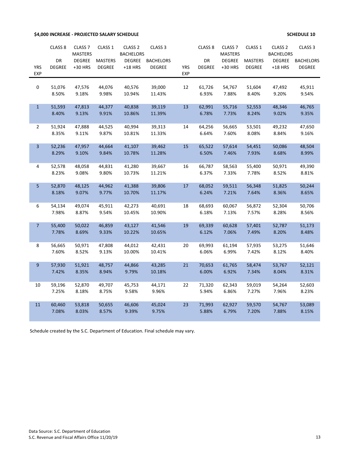**\$4,000 INCREASE - PROJECTED SALARY SCHEDULE SCHEDULE 10**

|                          | CLASS <sub>8</sub>  | CLASS <sub>7</sub><br><b>MASTERS</b> | CLASS 1                         | CLASS <sub>2</sub><br><b>BACHELORS</b> | CLASS <sub>3</sub>                |                          | CLASS <sub>8</sub>  | CLASS <sub>7</sub><br><b>MASTERS</b> | CLASS <sub>1</sub>              | CLASS <sub>2</sub><br><b>BACHELORS</b> | CLASS <sub>3</sub>                |
|--------------------------|---------------------|--------------------------------------|---------------------------------|----------------------------------------|-----------------------------------|--------------------------|---------------------|--------------------------------------|---------------------------------|----------------------------------------|-----------------------------------|
| <b>YRS</b><br><b>EXP</b> | DR<br><b>DEGREE</b> | <b>DEGREE</b><br>+30 HRS             | <b>MASTERS</b><br><b>DEGREE</b> | <b>DEGREE</b><br>$+18$ HRS             | <b>BACHELORS</b><br><b>DEGREE</b> | <b>YRS</b><br><b>EXP</b> | DR<br><b>DEGREE</b> | <b>DEGREE</b><br>+30 HRS             | <b>MASTERS</b><br><b>DEGREE</b> | <b>DEGREE</b><br>$+18$ HRS             | <b>BACHELORS</b><br><b>DEGREE</b> |
| $\mathbf 0$              | 51,076              | 47,576                               | 44,076                          | 40,576                                 | 39,000                            | 12                       | 61,726              | 54,767                               | 51,604                          | 47,492                                 | 45,911                            |
|                          | 8.50%               | 9.18%                                | 9.98%                           | 10.94%                                 | 11.43%                            |                          | 6.93%               | 7.88%                                | 8.40%                           | 9.20%                                  | 9.54%                             |
| $\mathbf{1}$             | 51,593<br>8.40%     | 47,813<br>9.13%                      | 44,377<br>9.91%                 | 40,838<br>10.86%                       | 39,119<br>11.39%                  | 13                       | 62,991<br>6.78%     | 55,716<br>7.73%                      | 52,553<br>8.24%                 | 48,346<br>9.02%                        | 46,765<br>9.35%                   |
| $\overline{2}$           | 51,924<br>8.35%     | 47,888<br>9.11%                      | 44,525<br>9.87%                 | 40,994<br>10.81%                       | 39,313<br>11.33%                  | 14                       | 64,256<br>6.64%     | 56,665<br>7.60%                      | 53,501<br>8.08%                 | 49,232<br>8.84%                        | 47,650<br>9.16%                   |
| $\overline{3}$           | 52,236<br>8.29%     | 47,957<br>9.10%                      | 44,664<br>9.84%                 | 41,107<br>10.78%                       | 39,462<br>11.28%                  | 15                       | 65,522<br>6.50%     | 57,614<br>7.46%                      | 54,451<br>7.93%                 | 50,086<br>8.68%                        | 48,504<br>8.99%                   |
| 4                        | 52,578<br>8.23%     | 48,058<br>9.08%                      | 44,831<br>9.80%                 | 41,280<br>10.73%                       | 39,667<br>11.21%                  | 16                       | 66,787<br>6.37%     | 58,563<br>7.33%                      | 55,400<br>7.78%                 | 50,971<br>8.52%                        | 49,390<br>8.81%                   |
| 5                        | 52,870<br>8.18%     | 48,125<br>9.07%                      | 44,962<br>9.77%                 | 41,388<br>10.70%                       | 39,806<br>11.17%                  | 17                       | 68,052<br>6.24%     | 59,511<br>7.21%                      | 56,348<br>7.64%                 | 51,825<br>8.36%                        | 50,244<br>8.65%                   |
| 6                        | 54,134<br>7.98%     | 49,074<br>8.87%                      | 45,911<br>9.54%                 | 42,273<br>10.45%                       | 40,691<br>10.90%                  | 18                       | 68,693<br>6.18%     | 60,067<br>7.13%                      | 56,872<br>7.57%                 | 52,304<br>8.28%                        | 50,706<br>8.56%                   |
| $\overline{7}$           | 55,400<br>7.78%     | 50,022<br>8.69%                      | 46,859<br>9.33%                 | 43,127<br>10.22%                       | 41,546<br>10.65%                  | 19                       | 69,339<br>6.12%     | 60,628<br>7.06%                      | 57,401<br>7.49%                 | 52,787<br>8.20%                        | 51,173<br>8.48%                   |
| 8                        | 56,665<br>7.60%     | 50,971<br>8.52%                      | 47,808<br>9.13%                 | 44,012<br>10.00%                       | 42,431<br>10.41%                  | 20                       | 69,993<br>6.06%     | 61,194<br>6.99%                      | 57,935<br>7.42%                 | 53,275<br>8.12%                        | 51,646<br>8.40%                   |
| 9 <sub>o</sub>           | 57,930<br>7.42%     | 51,921<br>8.35%                      | 48,757<br>8.94%                 | 44,866<br>9.79%                        | 43,285<br>10.18%                  | 21                       | 70,653<br>6.00%     | 61,765<br>6.92%                      | 58,474<br>7.34%                 | 53,767<br>8.04%                        | 52,121<br>8.31%                   |
| 10                       | 59,196<br>7.25%     | 52,870<br>8.18%                      | 49,707<br>8.75%                 | 45,753<br>9.58%                        | 44,171<br>9.96%                   | 22                       | 71,320<br>5.94%     | 62,343<br>6.86%                      | 59,019<br>7.27%                 | 54,264<br>7.96%                        | 52,603<br>8.23%                   |
| 11                       | 60,460<br>7.08%     | 53,818<br>8.03%                      | 50,655<br>8.57%                 | 46,606<br>9.39%                        | 45,024<br>9.75%                   | 23                       | 71,993<br>5.88%     | 62,927<br>6.79%                      | 59,570<br>7.20%                 | 54,767<br>7.88%                        | 53,089<br>8.15%                   |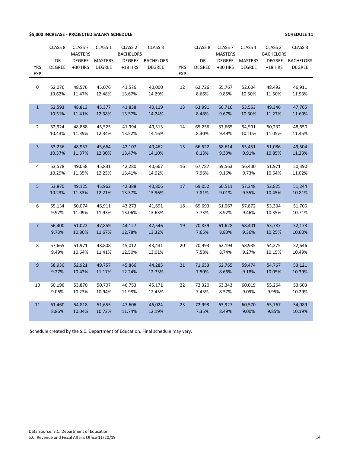### **\$5,000 INCREASE - PROJECTED SALARY SCHEDULE SCHEDULE 11**

|                | CLASS <sub>8</sub>  | CLASS <sub>7</sub><br><b>MASTERS</b> | CLASS 1                         | CLASS <sub>2</sub><br><b>BACHELORS</b> | CLASS <sub>3</sub>                |            | CLASS <sub>8</sub>  | CLASS <sub>7</sub><br><b>MASTERS</b> | CLASS 1                         | CLASS <sub>2</sub><br><b>BACHELORS</b> | CLASS <sub>3</sub>                |
|----------------|---------------------|--------------------------------------|---------------------------------|----------------------------------------|-----------------------------------|------------|---------------------|--------------------------------------|---------------------------------|----------------------------------------|-----------------------------------|
| <b>YRS</b>     | DR<br><b>DEGREE</b> | <b>DEGREE</b><br>+30 HRS             | <b>MASTERS</b><br><b>DEGREE</b> | <b>DEGREE</b><br>$+18$ HRS             | <b>BACHELORS</b><br><b>DEGREE</b> | <b>YRS</b> | DR<br><b>DEGREE</b> | <b>DEGREE</b><br>+30 HRS             | <b>MASTERS</b><br><b>DEGREE</b> | <b>DEGREE</b><br>$+18$ HRS             | <b>BACHELORS</b><br><b>DEGREE</b> |
| <b>EXP</b>     |                     |                                      |                                 |                                        |                                   | <b>EXP</b> |                     |                                      |                                 |                                        |                                   |
| $\pmb{0}$      | 52,076              | 48,576                               | 45,076                          | 41,576                                 | 40,000                            | 12         | 62,726              | 55,767                               | 52,604                          | 48,492                                 | 46,911                            |
|                | 10.62%              | 11.47%                               | 12.48%                          | 13.67%                                 | 14.29%                            |            | 8.66%               | 9.85%                                | 10.50%                          | 11.50%                                 | 11.93%                            |
| $\mathbf{1}$   | 52,593              | 48,813                               | 45,377                          | 41,838                                 | 40,119                            | 13         | 63,991              | 56,716                               | 53,553                          | 49,346                                 | 47,765                            |
|                | 10.51%              | 11.41%                               | 12.38%                          | 13.57%                                 | 14.24%                            |            | 8.48%               | 9.67%                                | 10.30%                          | 11.27%                                 | 11.69%                            |
| $\overline{2}$ | 52,924              | 48,888                               | 45,525                          | 41,994                                 | 40,313                            | 14         | 65,256              | 57,665                               | 54,501                          | 50,232                                 | 48,650                            |
|                | 10.43%              | 11.39%                               | 12.34%                          | 13.52%                                 | 14.16%                            |            | 8.30%               | 9.49%                                | 10.10%                          | 11.05%                                 | 11.45%                            |
| $\overline{3}$ | 53,236              | 48,957                               | 45,664                          | 42,107                                 | 40,462                            | 15         | 66,522              | 58,614                               | 55,451                          | 51,086                                 | 49,504                            |
|                | 10.37%              | 11.37%                               | 12.30%                          | 13.47%                                 | 14.10%                            |            | 8.13%               | 9.33%                                | 9.91%                           | 10.85%                                 | 11.23%                            |
| 4              | 53,578              | 49,058                               | 45,831                          | 42,280                                 | 40,667                            | 16         | 67,787              | 59,563                               | 56,400                          | 51,971                                 | 50,390                            |
|                | 10.29%              | 11.35%                               | 12.25%                          | 13.41%                                 | 14.02%                            |            | 7.96%               | 9.16%                                | 9.73%                           | 10.64%                                 | 11.02%                            |
| 5              | 53,870              | 49,125                               | 45,962                          | 42,388                                 | 40,806                            | 17         | 69,052              | 60,511                               | 57,348                          | 52,825                                 | 51,244                            |
|                | 10.23%              | 11.33%                               | 12.21%                          | 13.37%                                 | 13.96%                            |            | 7.81%               | 9.01%                                | 9.55%                           | 10.45%                                 | 10.81%                            |
| 6              | 55,134              | 50,074                               | 46,911                          | 43,273                                 | 41,691                            | 18         | 69,693              | 61,067                               | 57,872                          | 53,304                                 | 51,706                            |
|                | 9.97%               | 11.09%                               | 11.93%                          | 13.06%                                 | 13.63%                            |            | 7.73%               | 8.92%                                | 9.46%                           | 10.35%                                 | 10.71%                            |
| 7 <sup>2</sup> | 56,400              | 51,022                               | 47,859                          | 44,127                                 | 42,546                            | 19         | 70,339              | 61,628                               | 58,401                          | 53,787                                 | 52,173                            |
|                | 9.73%               | 10.86%                               | 11.67%                          | 12.78%                                 | 13.32%                            |            | 7.65%               | 8.83%                                | 9.36%                           | 10.25%                                 | 10.60%                            |
| 8              | 57,665              | 51,971                               | 48,808                          | 45,012                                 | 43,431                            | 20         | 70,993              | 62,194                               | 58,935                          | 54,275                                 | 52,646                            |
|                | 9.49%               | 10.64%                               | 11.41%                          | 12.50%                                 | 13.01%                            |            | 7.58%               | 8.74%                                | 9.27%                           | 10.15%                                 | 10.49%                            |
| 9              | 58,930              | 52,921                               | 49,757                          | 45,866                                 | 44,285                            | 21         | 71,653              | 62,765                               | 59,474                          | 54,767                                 | 53,121                            |
|                | 9.27%               | 10.43%                               | 11.17%                          | 12.24%                                 | 12.73%                            |            | 7.50%               | 8.66%                                | 9.18%                           | 10.05%                                 | 10.39%                            |
| 10             | 60,196              | 53,870                               | 50,707                          | 46,753                                 | 45,171                            | 22         | 72,320              | 63,343                               | 60,019                          | 55,264                                 | 53,603                            |
|                | 9.06%               | 10.23%                               | 10.94%                          | 11.98%                                 | 12.45%                            |            | 7.43%               | 8.57%                                | 9.09%                           | 9.95%                                  | 10.29%                            |
| 11             | 61,460              | 54,818                               | 51,655                          | 47,606                                 | 46,024                            | 23         | 72,993              | 63,927                               | 60,570                          | 55,767                                 | 54,089                            |
|                | 8.86%               | 10.04%                               | 10.72%                          | 11.74%                                 | 12.19%                            |            | 7.35%               | 8.49%                                | 9.00%                           | 9.85%                                  | 10.19%                            |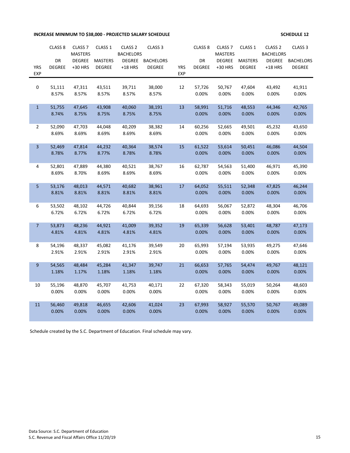# **INCREASE MINIMUM TO \$38,000 - PROJECTED SALARY SCHEDULE SERVICE SERVICE SCHEDULE 12**

|                  | CLASS <sub>8</sub> | CLASS <sub>7</sub><br><b>MASTERS</b> | CLASS 1         | CLASS <sub>2</sub><br><b>BACHELORS</b> | CLASS <sub>3</sub> |            | CLASS <sub>8</sub> | CLASS <sub>7</sub><br><b>MASTERS</b> | CLASS 1         | CLASS <sub>2</sub><br><b>BACHELORS</b> | CLASS <sub>3</sub> |
|------------------|--------------------|--------------------------------------|-----------------|----------------------------------------|--------------------|------------|--------------------|--------------------------------------|-----------------|----------------------------------------|--------------------|
|                  | DR                 | <b>DEGREE</b>                        | <b>MASTERS</b>  | <b>DEGREE</b>                          | <b>BACHELORS</b>   |            | DR                 | <b>DEGREE</b>                        | <b>MASTERS</b>  | <b>DEGREE</b>                          | <b>BACHELORS</b>   |
| <b>YRS</b>       | <b>DEGREE</b>      | +30 HRS                              | <b>DEGREE</b>   | $+18$ HRS                              | <b>DEGREE</b>      | <b>YRS</b> | <b>DEGREE</b>      | +30 HRS                              | <b>DEGREE</b>   | $+18$ HRS                              | <b>DEGREE</b>      |
| EXP              |                    |                                      |                 |                                        |                    | <b>EXP</b> |                    |                                      |                 |                                        |                    |
|                  |                    |                                      |                 |                                        |                    |            |                    |                                      |                 |                                        |                    |
| 0                | 51,111             | 47,311                               | 43,511          | 39,711                                 | 38,000             | 12         | 57,726             | 50,767                               | 47,604          | 43,492                                 | 41,911             |
|                  | 8.57%              | 8.57%                                | 8.57%           | 8.57%                                  | 8.57%              |            | 0.00%              | 0.00%                                | 0.00%           | 0.00%                                  | 0.00%              |
| $\mathbf{1}$     | 51,755             | 47,645                               | 43,908          | 40,060                                 | 38,191             | 13         | 58,991             | 51,716                               | 48,553          | 44,346                                 | 42,765             |
|                  | 8.74%              | 8.75%                                | 8.75%           | 8.75%                                  | 8.75%              |            | 0.00%              | 0.00%                                | 0.00%           | 0.00%                                  | 0.00%              |
|                  |                    |                                      |                 |                                        |                    |            |                    |                                      |                 |                                        |                    |
| $\overline{2}$   | 52,090             | 47,703                               | 44,048          | 40,209                                 | 38,382             | 14         | 60,256             | 52,665                               | 49,501          | 45,232                                 | 43,650             |
|                  | 8.69%              | 8.69%                                | 8.69%           | 8.69%                                  | 8.69%              |            | 0.00%              | 0.00%                                | 0.00%           | 0.00%                                  | 0.00%              |
| 3                | 52,469             | 47,814                               | 44,232          | 40,364                                 | 38,574             | 15         | 61,522             | 53,614                               | 50,451          | 46,086                                 | 44,504             |
|                  | 8.78%              | 8.77%                                | 8.77%           | 8.78%                                  | 8.78%              |            | 0.00%              | 0.00%                                | 0.00%           | 0.00%                                  | 0.00%              |
|                  |                    |                                      |                 |                                        |                    |            |                    |                                      |                 |                                        |                    |
| 4                | 52,801             | 47,889                               | 44,380          | 40,521                                 | 38,767             | 16         | 62,787             | 54,563                               | 51,400          | 46,971                                 | 45,390             |
|                  | 8.69%              | 8.70%                                | 8.69%           | 8.69%                                  | 8.69%              |            | 0.00%              | 0.00%                                | 0.00%           | 0.00%                                  | 0.00%              |
| 5                | 53,176             | 48,013                               | 44,571          | 40,682                                 | 38,961             | 17         | 64,052             | 55,511                               | 52,348          | 47,825                                 | 46,244             |
|                  | 8.81%              | 8.81%                                | 8.81%           | 8.81%                                  | 8.81%              |            | 0.00%              | 0.00%                                | 0.00%           | 0.00%                                  | 0.00%              |
|                  |                    |                                      |                 |                                        |                    |            |                    |                                      |                 |                                        |                    |
| 6                | 53,502             | 48,102                               | 44,726          | 40,844                                 | 39,156             | 18         | 64,693             | 56,067                               | 52,872          | 48,304                                 | 46,706             |
|                  | 6.72%              | 6.72%                                | 6.72%           | 6.72%                                  | 6.72%              |            | 0.00%              | 0.00%                                | 0.00%           | 0.00%                                  | 0.00%              |
| $\overline{7}$   | 53,873             | 48,236                               | 44,921          | 41,009                                 | 39,352             | 19         | 65,339             | 56,628                               | 53,401          | 48,787                                 | 47,173             |
|                  | 4.81%              | 4.81%                                | 4.81%           | 4.81%                                  | 4.81%              |            | 0.00%              | 0.00%                                | 0.00%           | 0.00%                                  | 0.00%              |
|                  |                    |                                      |                 |                                        |                    |            |                    |                                      |                 |                                        |                    |
| 8                | 54,196             | 48,337                               | 45,082          | 41,176                                 | 39,549             | 20         | 65,993             | 57,194                               | 53,935          | 49,275                                 | 47,646             |
|                  | 2.91%              | 2.91%                                | 2.91%           | 2.91%                                  | 2.91%              |            | 0.00%              | 0.00%                                | 0.00%           | 0.00%                                  | 0.00%              |
|                  |                    |                                      |                 |                                        |                    |            |                    |                                      |                 |                                        |                    |
| $\boldsymbol{9}$ | 54,565<br>1.18%    | 48,484<br>1.17%                      | 45,284<br>1.18% | 41,347<br>1.18%                        | 39,747<br>1.18%    | 21         | 66,653<br>0.00%    | 57,765<br>0.00%                      | 54,474<br>0.00% | 49,767<br>0.00%                        | 48,121<br>0.00%    |
|                  |                    |                                      |                 |                                        |                    |            |                    |                                      |                 |                                        |                    |
| 10               | 55,196             | 48,870                               | 45,707          | 41,753                                 | 40,171             | 22         | 67,320             | 58,343                               | 55,019          | 50,264                                 | 48,603             |
|                  | 0.00%              | 0.00%                                | 0.00%           | 0.00%                                  | 0.00%              |            | 0.00%              | 0.00%                                | 0.00%           | 0.00%                                  | 0.00%              |
|                  |                    |                                      |                 |                                        |                    |            |                    |                                      |                 |                                        |                    |
| 11               | 56,460             | 49,818                               | 46,655          | 42,606                                 | 41,024             | 23         | 67,993             | 58,927                               | 55,570          | 50,767                                 | 49,089             |
|                  | 0.00%              | 0.00%                                | 0.00%           | 0.00%                                  | 0.00%              |            | 0.00%              | 0.00%                                | 0.00%           | 0.00%                                  | 0.00%              |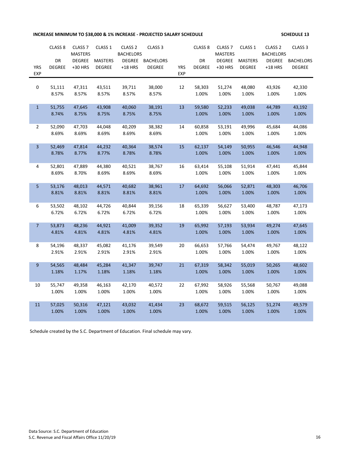**INCREASE MINIMUM TO \$38,000 & 1% INCREASE - PROJECTED SALARY SCHEDULE 17 THE SCHEDULE 13** 

|                | CLASS <sub>8</sub> | CLASS <sub>7</sub> | CLASS 1         | CLASS <sub>2</sub> | CLASS <sub>3</sub> |            | CLASS <sub>8</sub> | CLASS <sub>7</sub> | CLASS 1         | CLASS <sub>2</sub> | CLASS <sub>3</sub> |
|----------------|--------------------|--------------------|-----------------|--------------------|--------------------|------------|--------------------|--------------------|-----------------|--------------------|--------------------|
|                |                    | <b>MASTERS</b>     |                 | <b>BACHELORS</b>   |                    |            |                    | <b>MASTERS</b>     |                 | <b>BACHELORS</b>   |                    |
|                | DR                 | <b>DEGREE</b>      | <b>MASTERS</b>  | <b>DEGREE</b>      | <b>BACHELORS</b>   |            | DR                 | <b>DEGREE</b>      | <b>MASTERS</b>  | <b>DEGREE</b>      | <b>BACHELORS</b>   |
| <b>YRS</b>     | <b>DEGREE</b>      | +30 HRS            | <b>DEGREE</b>   | $+18$ HRS          | <b>DEGREE</b>      | <b>YRS</b> | <b>DEGREE</b>      | +30 HRS            | <b>DEGREE</b>   | $+18$ HRS          | <b>DEGREE</b>      |
| <b>EXP</b>     |                    |                    |                 |                    |                    | <b>EXP</b> |                    |                    |                 |                    |                    |
| 0              | 51,111             | 47,311             | 43,511          | 39,711             | 38,000             | 12         | 58,303             | 51,274             | 48,080          | 43,926             | 42,330             |
|                | 8.57%              | 8.57%              | 8.57%           | 8.57%              | 8.57%              |            | 1.00%              | 1.00%              | 1.00%           | 1.00%              | 1.00%              |
|                |                    |                    |                 |                    |                    |            |                    |                    |                 |                    |                    |
| $\mathbf{1}$   | 51,755             | 47,645             | 43,908          | 40,060             | 38,191             | 13         | 59,580             | 52,233             | 49,038          | 44,789             | 43,192             |
|                | 8.74%              | 8.75%              | 8.75%           | 8.75%              | 8.75%              |            | 1.00%              | 1.00%              | 1.00%           | 1.00%              | 1.00%              |
|                |                    |                    |                 |                    |                    |            |                    |                    |                 |                    |                    |
| $\overline{2}$ | 52,090             | 47,703             | 44,048          | 40,209             | 38,382             | 14         | 60,858             | 53,191             | 49,996          | 45,684             | 44,086             |
|                | 8.69%              | 8.69%              | 8.69%           | 8.69%              | 8.69%              |            | 1.00%              | 1.00%              | 1.00%           | 1.00%              | 1.00%              |
|                |                    |                    |                 |                    |                    |            |                    |                    |                 |                    |                    |
| 3              | 52,469<br>8.78%    | 47,814<br>8.77%    | 44,232<br>8.77% | 40,364<br>8.78%    | 38,574<br>8.78%    | 15         | 62,137<br>1.00%    | 54,149<br>1.00%    | 50,955<br>1.00% | 46,546<br>1.00%    | 44,948<br>1.00%    |
|                |                    |                    |                 |                    |                    |            |                    |                    |                 |                    |                    |
| 4              | 52,801             | 47,889             | 44,380          | 40,521             | 38,767             | 16         | 63,414             | 55,108             | 51,914          | 47,441             | 45,844             |
|                | 8.69%              | 8.70%              | 8.69%           | 8.69%              | 8.69%              |            | 1.00%              | 1.00%              | 1.00%           | 1.00%              | 1.00%              |
|                |                    |                    |                 |                    |                    |            |                    |                    |                 |                    |                    |
| 5 <sub>5</sub> | 53,176             | 48,013             | 44,571          | 40,682             | 38,961             | 17         | 64,692             | 56,066             | 52,871          | 48,303             | 46,706             |
|                | 8.81%              | 8.81%              | 8.81%           | 8.81%              | 8.81%              |            | 1.00%              | 1.00%              | 1.00%           | 1.00%              | 1.00%              |
|                |                    |                    |                 |                    |                    |            |                    |                    |                 |                    |                    |
| 6              | 53,502             | 48,102             | 44,726          | 40,844             | 39,156             | 18         | 65,339             | 56,627             | 53,400          | 48,787             | 47,173             |
|                | 6.72%              | 6.72%              | 6.72%           | 6.72%              | 6.72%              |            | 1.00%              | 1.00%              | 1.00%           | 1.00%              | 1.00%              |
| $\overline{7}$ | 53,873             | 48,236             | 44,921          | 41,009             | 39,352             | 19         | 65,992             | 57,193             | 53,934          | 49,274             | 47,645             |
|                | 4.81%              | 4.81%              | 4.81%           | 4.81%              | 4.81%              |            | 1.00%              | 1.00%              | 1.00%           | 1.00%              | 1.00%              |
|                |                    |                    |                 |                    |                    |            |                    |                    |                 |                    |                    |
| 8              | 54,196             | 48,337             | 45,082          | 41,176             | 39,549             | 20         | 66,653             | 57,766             | 54,474          | 49,767             | 48,122             |
|                | 2.91%              | 2.91%              | 2.91%           | 2.91%              | 2.91%              |            | 1.00%              | 1.00%              | 1.00%           | 1.00%              | 1.00%              |
|                |                    |                    |                 |                    |                    |            |                    |                    |                 |                    |                    |
| 9              | 54,565             | 48,484             | 45,284          | 41,347             | 39,747             | 21         | 67,319             | 58,342             | 55,019          | 50,265             | 48,602             |
|                | 1.18%              | 1.17%              | 1.18%           | 1.18%              | 1.18%              |            | 1.00%              | 1.00%              | 1.00%           | 1.00%              | 1.00%              |
| 10             | 55,747             | 49,358             | 46,163          | 42,170             | 40,572             | 22         | 67,992             | 58,926             | 55,568          | 50,767             | 49,088             |
|                | 1.00%              | 1.00%              | 1.00%           | 1.00%              | 1.00%              |            | 1.00%              | 1.00%              | 1.00%           | 1.00%              | 1.00%              |
|                |                    |                    |                 |                    |                    |            |                    |                    |                 |                    |                    |
| 11             | 57,025             | 50,316             | 47,121          | 43,032             | 41,434             | 23         | 68,672             | 59,515             | 56,125          | 51,274             | 49,579             |
|                | 1.00%              | 1.00%              | 1.00%           | 1.00%              | 1.00%              |            | 1.00%              | 1.00%              | 1.00%           | 1.00%              | 1.00%              |
|                |                    |                    |                 |                    |                    |            |                    |                    |                 |                    |                    |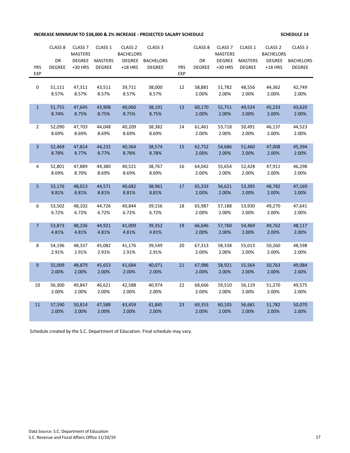# **INCREASE MINIMUM TO \$38,000 & 2% INCREASE - PROJECTED SALARY SCHEDULE SERVICE SCHEDULE 14**

|                | CLASS <sub>8</sub> | CLASS <sub>7</sub> | CLASS 1         | CLASS <sub>2</sub> | CLASS <sub>3</sub> |            | CLASS <sub>8</sub> | CLASS <sub>7</sub> | CLASS 1         | CLASS <sub>2</sub> | CLASS <sub>3</sub> |
|----------------|--------------------|--------------------|-----------------|--------------------|--------------------|------------|--------------------|--------------------|-----------------|--------------------|--------------------|
|                |                    | <b>MASTERS</b>     |                 | <b>BACHELORS</b>   |                    |            |                    | <b>MASTERS</b>     |                 | <b>BACHELORS</b>   |                    |
|                | DR                 | <b>DEGREE</b>      | <b>MASTERS</b>  | <b>DEGREE</b>      | <b>BACHELORS</b>   |            | DR                 | <b>DEGREE</b>      | <b>MASTERS</b>  | <b>DEGREE</b>      | <b>BACHELORS</b>   |
| <b>YRS</b>     | <b>DEGREE</b>      | +30 HRS            | <b>DEGREE</b>   | $+18$ HRS          | <b>DEGREE</b>      | <b>YRS</b> | <b>DEGREE</b>      | +30 HRS            | <b>DEGREE</b>   | $+18$ HRS          | <b>DEGREE</b>      |
| <b>EXP</b>     |                    |                    |                 |                    |                    | <b>EXP</b> |                    |                    |                 |                    |                    |
|                |                    |                    |                 |                    |                    |            |                    |                    |                 |                    |                    |
| 0              | 51,111             | 47,311             | 43,511          | 39,711             | 38,000             | 12         | 58,881             | 51,782             | 48,556          | 44,362             | 42,749             |
|                | 8.57%              | 8.57%              | 8.57%           | 8.57%              | 8.57%              |            | 2.00%              | 2.00%              | 2.00%           | 2.00%              | 2.00%              |
| $\mathbf{1}$   | 51,755             | 47,645             | 43,908          | 40,060             | 38,191             | 13         | 60,170             | 52,751             | 49,524          | 45,233             | 43,620             |
|                | 8.74%              | 8.75%              | 8.75%           | 8.75%              | 8.75%              |            | 2.00%              | 2.00%              | 2.00%           | 2.00%              | 2.00%              |
|                |                    |                    |                 |                    |                    |            |                    |                    |                 |                    |                    |
| $\overline{2}$ | 52,090             | 47,703             | 44,048          | 40,209             | 38,382             | 14         | 61,461             | 53,718             | 50,491          | 46,137             | 44,523             |
|                | 8.69%              | 8.69%              | 8.69%           | 8.69%              | 8.69%              |            | 2.00%              | 2.00%              | 2.00%           | 2.00%              | 2.00%              |
|                |                    |                    |                 |                    |                    |            |                    |                    |                 |                    |                    |
| $\overline{3}$ | 52,469             | 47,814             | 44,232          | 40,364             | 38,574             | 15         | 62,752             | 54,686             | 51,460          | 47,008             | 45,394             |
|                | 8.78%              | 8.77%              | 8.77%           | 8.78%              | 8.78%              |            | 2.00%              | 2.00%              | 2.00%           | 2.00%              | 2.00%              |
|                |                    |                    |                 |                    |                    |            |                    |                    |                 |                    |                    |
| 4              | 52,801             | 47,889             | 44,380          | 40,521             | 38,767             | 16         | 64,042             | 55,654             | 52,428          | 47,911             | 46,298             |
|                | 8.69%              | 8.70%              | 8.69%           | 8.69%              | 8.69%              |            | 2.00%              | 2.00%              | 2.00%           | 2.00%              | 2.00%              |
| 5              | 53,176             | 48,013             | 44,571          | 40,682             | 38,961             | 17         | 65,333             | 56,621             | 53,395          | 48,782             | 47,169             |
|                | 8.81%              | 8.81%              | 8.81%           | 8.81%              | 8.81%              |            | 2.00%              | 2.00%              | 2.00%           | 2.00%              | 2.00%              |
|                |                    |                    |                 |                    |                    |            |                    |                    |                 |                    |                    |
| 6              | 53,502             | 48,102             | 44,726          | 40,844             | 39,156             | 18         | 65,987             | 57,188             | 53,930          | 49,270             | 47,641             |
|                | 6.72%              | 6.72%              | 6.72%           | 6.72%              | 6.72%              |            | 2.00%              | 2.00%              | 2.00%           | 2.00%              | 2.00%              |
|                |                    |                    |                 |                    |                    |            |                    |                    |                 |                    |                    |
| $\overline{7}$ | 53,873             | 48,236             | 44,921          | 41,009             | 39,352             | 19         | 66,646             | 57,760             | 54,469          | 49,762             | 48,117             |
|                | 4.81%              | 4.81%              | 4.81%           | 4.81%              | 4.81%              |            | 2.00%              | 2.00%              | 2.00%           | 2.00%              | 2.00%              |
|                |                    |                    |                 |                    |                    |            |                    |                    |                 |                    |                    |
| 8              | 54,196             | 48,337             | 45,082          | 41,176             | 39,549             | 20         | 67,313             | 58,338             | 55,013          | 50,260             | 48,598             |
|                | 2.91%              | 2.91%              | 2.91%           | 2.91%              | 2.91%              |            | 2.00%              | 2.00%              | 2.00%           | 2.00%              | 2.00%              |
|                |                    |                    |                 |                    |                    |            |                    |                    |                 |                    |                    |
| $9\,$          | 55,009<br>2.00%    | 48,879<br>2.00%    | 45,653<br>2.00% | 41,684<br>2.00%    | 40,071<br>2.00%    | 21         | 67,986<br>2.00%    | 58,921<br>2.00%    | 55,564<br>2.00% | 50,763<br>2.00%    | 49,084             |
|                |                    |                    |                 |                    |                    |            |                    |                    |                 |                    | 2.00%              |
| 10             | 56,300             | 49,847             | 46,621          | 42,588             | 40,974             | 22         | 68,666             | 59,510             | 56,119          | 51,270             | 49,575             |
|                | 2.00%              | 2.00%              | 2.00%           | 2.00%              | 2.00%              |            | 2.00%              | 2.00%              | 2.00%           | 2.00%              | 2.00%              |
|                |                    |                    |                 |                    |                    |            |                    |                    |                 |                    |                    |
| 11             | 57,590             | 50,814             | 47,588          | 43,459             | 41,845             | 23         | 69,353             | 60,105             | 56,681          | 51,782             | 50,070             |
|                | 2.00%              | 2.00%              | 2.00%           | 2.00%              | 2.00%              |            | 2.00%              | 2.00%              | 2.00%           | 2.00%              | 2.00%              |
|                |                    |                    |                 |                    |                    |            |                    |                    |                 |                    |                    |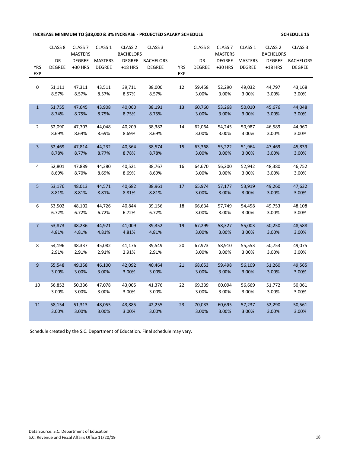**INCREASE MINIMUM TO \$38,000 & 3% INCREASE - PROJECTED SALARY SCHEDULE SCHEDULE 15**

|                  | CLASS <sub>8</sub> | CLASS <sub>7</sub><br><b>MASTERS</b> | CLASS 1         | CLASS <sub>2</sub><br><b>BACHELORS</b> | CLASS <sub>3</sub> |            | CLASS <sub>8</sub> | CLASS <sub>7</sub><br><b>MASTERS</b> | CLASS 1         | CLASS <sub>2</sub><br><b>BACHELORS</b> | CLASS <sub>3</sub> |
|------------------|--------------------|--------------------------------------|-----------------|----------------------------------------|--------------------|------------|--------------------|--------------------------------------|-----------------|----------------------------------------|--------------------|
|                  | DR                 | <b>DEGREE</b>                        | <b>MASTERS</b>  | <b>DEGREE</b>                          | <b>BACHELORS</b>   |            | DR                 | <b>DEGREE</b>                        | <b>MASTERS</b>  | <b>DEGREE</b>                          | <b>BACHELORS</b>   |
| <b>YRS</b>       | <b>DEGREE</b>      | +30 HRS                              | <b>DEGREE</b>   | $+18$ HRS                              | <b>DEGREE</b>      | <b>YRS</b> | <b>DEGREE</b>      | +30 HRS                              | <b>DEGREE</b>   | $+18$ HRS                              | <b>DEGREE</b>      |
| EXP              |                    |                                      |                 |                                        |                    | <b>EXP</b> |                    |                                      |                 |                                        |                    |
|                  |                    |                                      |                 |                                        |                    |            |                    |                                      |                 |                                        |                    |
| $\pmb{0}$        | 51,111<br>8.57%    | 47,311<br>8.57%                      | 43,511<br>8.57% | 39,711<br>8.57%                        | 38,000<br>8.57%    | 12         | 59,458<br>3.00%    | 52,290<br>3.00%                      | 49,032<br>3.00% | 44,797<br>3.00%                        | 43,168<br>3.00%    |
|                  |                    |                                      |                 |                                        |                    |            |                    |                                      |                 |                                        |                    |
| $\mathbf{1}$     | 51,755             | 47,645                               | 43,908          | 40,060                                 | 38,191             | 13         | 60,760             | 53,268                               | 50,010          | 45,676                                 | 44,048             |
|                  | 8.74%              | 8.75%                                | 8.75%           | 8.75%                                  | 8.75%              |            | 3.00%              | 3.00%                                | 3.00%           | 3.00%                                  | 3.00%              |
|                  |                    |                                      |                 |                                        |                    |            |                    |                                      |                 |                                        |                    |
| $\overline{2}$   | 52,090             | 47,703                               | 44,048          | 40,209                                 | 38,382             | 14         | 62,064             | 54,245                               | 50,987          | 46,589                                 | 44,960             |
|                  | 8.69%              | 8.69%                                | 8.69%           | 8.69%                                  | 8.69%              |            | 3.00%              | 3.00%                                | 3.00%           | 3.00%                                  | 3.00%              |
|                  | 52,469             | 47,814                               | 44,232          | 40,364                                 | 38,574             | 15         | 63,368             | 55,222                               | 51,964          | 47,469                                 | 45,839             |
| 3                | 8.78%              | 8.77%                                | 8.77%           | 8.78%                                  | 8.78%              |            | 3.00%              | 3.00%                                | 3.00%           | 3.00%                                  | 3.00%              |
|                  |                    |                                      |                 |                                        |                    |            |                    |                                      |                 |                                        |                    |
| $\overline{a}$   | 52,801             | 47,889                               | 44,380          | 40,521                                 | 38,767             | 16         | 64,670             | 56,200                               | 52,942          | 48,380                                 | 46,752             |
|                  | 8.69%              | 8.70%                                | 8.69%           | 8.69%                                  | 8.69%              |            | 3.00%              | 3.00%                                | 3.00%           | 3.00%                                  | 3.00%              |
|                  |                    |                                      |                 |                                        |                    |            |                    |                                      |                 |                                        |                    |
| 5                | 53,176             | 48,013                               | 44,571          | 40,682                                 | 38,961             | 17         | 65,974             | 57,177                               | 53,919          | 49,260                                 | 47,632             |
|                  | 8.81%              | 8.81%                                | 8.81%           | 8.81%                                  | 8.81%              |            | 3.00%              | 3.00%                                | 3.00%           | 3.00%                                  | 3.00%              |
| 6                | 53,502             | 48,102                               | 44,726          | 40,844                                 | 39,156             | 18         | 66,634             | 57,749                               | 54,458          | 49,753                                 | 48,108             |
|                  | 6.72%              | 6.72%                                | 6.72%           | 6.72%                                  | 6.72%              |            | 3.00%              | 3.00%                                | 3.00%           | 3.00%                                  | 3.00%              |
|                  |                    |                                      |                 |                                        |                    |            |                    |                                      |                 |                                        |                    |
| $\overline{7}$   | 53,873             | 48,236                               | 44,921          | 41,009                                 | 39,352             | 19         | 67,299             | 58,327                               | 55,003          | 50,250                                 | 48,588             |
|                  | 4.81%              | 4.81%                                | 4.81%           | 4.81%                                  | 4.81%              |            | 3.00%              | 3.00%                                | 3.00%           | 3.00%                                  | 3.00%              |
|                  |                    |                                      |                 |                                        |                    |            |                    |                                      |                 |                                        |                    |
| 8                | 54,196             | 48,337                               | 45,082          | 41,176                                 | 39,549             | 20         | 67,973             | 58,910                               | 55,553          | 50,753                                 | 49,075             |
|                  | 2.91%              | 2.91%                                | 2.91%           | 2.91%                                  | 2.91%              |            | 3.00%              | 3.00%                                | 3.00%           | 3.00%                                  | 3.00%              |
| $\boldsymbol{9}$ | 55,548             | 49,358                               | 46,100          | 42,092                                 | 40,464             | 21         | 68,653             | 59,498                               | 56,109          | 51,260                                 | 49,565             |
|                  | 3.00%              | 3.00%                                | 3.00%           | 3.00%                                  | 3.00%              |            | 3.00%              | 3.00%                                | 3.00%           | 3.00%                                  | 3.00%              |
|                  |                    |                                      |                 |                                        |                    |            |                    |                                      |                 |                                        |                    |
| 10               | 56,852             | 50,336                               | 47,078          | 43,005                                 | 41,376             | 22         | 69,339             | 60,094                               | 56,669          | 51,772                                 | 50,061             |
|                  | 3.00%              | 3.00%                                | 3.00%           | 3.00%                                  | 3.00%              |            | 3.00%              | 3.00%                                | 3.00%           | 3.00%                                  | 3.00%              |
|                  |                    |                                      |                 |                                        |                    |            |                    |                                      |                 |                                        |                    |
| 11               | 58,154<br>3.00%    | 51,313<br>3.00%                      | 48,055<br>3.00% | 43,885<br>3.00%                        | 42,255<br>3.00%    | 23         | 70,033<br>3.00%    | 60,695<br>3.00%                      | 57,237<br>3.00% | 52,290<br>3.00%                        | 50,561<br>3.00%    |
|                  |                    |                                      |                 |                                        |                    |            |                    |                                      |                 |                                        |                    |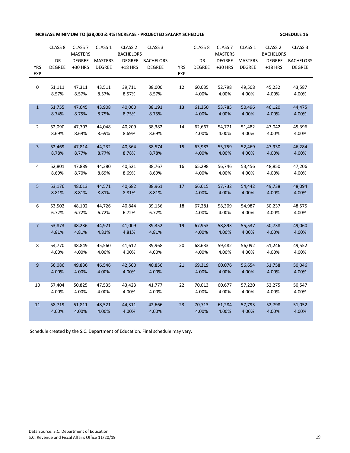# **INCREASE MINIMUM TO \$38,000 & 4% INCREASE - PROJECTED SALARY SCHEDULE SERVICE SCHEDULE 16**

|                | CLASS <sub>8</sub> | CLASS <sub>7</sub> | CLASS <sub>1</sub> | CLASS <sub>2</sub> | CLASS <sub>3</sub> |            | CLASS <sub>8</sub> | CLASS <sub>7</sub> | CLASS 1        | CLASS <sub>2</sub> | CLASS <sub>3</sub> |
|----------------|--------------------|--------------------|--------------------|--------------------|--------------------|------------|--------------------|--------------------|----------------|--------------------|--------------------|
|                |                    | <b>MASTERS</b>     |                    | <b>BACHELORS</b>   |                    |            |                    | <b>MASTERS</b>     |                | <b>BACHELORS</b>   |                    |
|                | DR                 | <b>DEGREE</b>      | <b>MASTERS</b>     | <b>DEGREE</b>      | <b>BACHELORS</b>   |            | DR                 | <b>DEGREE</b>      | <b>MASTERS</b> | <b>DEGREE</b>      | <b>BACHELORS</b>   |
| <b>YRS</b>     | <b>DEGREE</b>      | +30 HRS            | <b>DEGREE</b>      | $+18$ HRS          | <b>DEGREE</b>      | <b>YRS</b> | <b>DEGREE</b>      | +30 HRS            | <b>DEGREE</b>  | $+18$ HRS          | <b>DEGREE</b>      |
| <b>EXP</b>     |                    |                    |                    |                    |                    | <b>EXP</b> |                    |                    |                |                    |                    |
|                |                    |                    |                    |                    |                    |            |                    |                    |                |                    |                    |
| 0              | 51,111             | 47,311             | 43,511             | 39,711             | 38,000             | 12         | 60,035             | 52,798             | 49,508         | 45,232             | 43,587             |
|                | 8.57%              | 8.57%              | 8.57%              | 8.57%              | 8.57%              |            | 4.00%              | 4.00%              | 4.00%          | 4.00%              | 4.00%              |
| $\mathbf{1}$   | 51,755             | 47,645             | 43,908             | 40,060             | 38,191             | 13         | 61,350             | 53,785             | 50,496         | 46,120             | 44,475             |
|                | 8.74%              | 8.75%              | 8.75%              | 8.75%              | 8.75%              |            | 4.00%              | 4.00%              | 4.00%          | 4.00%              | 4.00%              |
|                |                    |                    |                    |                    |                    |            |                    |                    |                |                    |                    |
| $\overline{2}$ | 52,090             | 47,703             | 44,048             | 40,209             | 38,382             | 14         | 62,667             | 54,771             | 51,482         | 47,042             | 45,396             |
|                | 8.69%              | 8.69%              | 8.69%              | 8.69%              | 8.69%              |            | 4.00%              | 4.00%              | 4.00%          | 4.00%              | 4.00%              |
|                |                    |                    |                    |                    |                    |            |                    |                    |                |                    |                    |
| 3              | 52,469             | 47,814             | 44,232             | 40,364             | 38,574             | 15         | 63,983             | 55,759             | 52,469         | 47,930             | 46,284             |
|                | 8.78%              | 8.77%              | 8.77%              | 8.78%              | 8.78%              |            | 4.00%              | 4.00%              | 4.00%          | 4.00%              | 4.00%              |
|                |                    |                    |                    |                    |                    |            |                    |                    |                |                    |                    |
| 4              | 52,801             | 47,889             | 44,380             | 40,521             | 38,767             | 16         | 65,298             | 56,746             | 53,456         | 48,850             | 47,206             |
|                | 8.69%              | 8.70%              | 8.69%              | 8.69%              | 8.69%              |            | 4.00%              | 4.00%              | 4.00%          | 4.00%              | 4.00%              |
|                |                    |                    |                    |                    |                    |            |                    |                    |                |                    |                    |
| 5              | 53,176             | 48,013             | 44,571             | 40,682             | 38,961             | 17         | 66,615             | 57,732             | 54,442         | 49,738             | 48,094             |
|                | 8.81%              | 8.81%              | 8.81%              | 8.81%              | 8.81%              |            | 4.00%              | 4.00%              | 4.00%          | 4.00%              | 4.00%              |
| 6              | 53,502             | 48,102             | 44,726             | 40,844             | 39,156             | 18         | 67,281             | 58,309             | 54,987         | 50,237             | 48,575             |
|                | 6.72%              | 6.72%              | 6.72%              | 6.72%              | 6.72%              |            | 4.00%              | 4.00%              | 4.00%          | 4.00%              | 4.00%              |
|                |                    |                    |                    |                    |                    |            |                    |                    |                |                    |                    |
| $\overline{7}$ | 53,873             | 48,236             | 44,921             | 41,009             | 39,352             | 19         | 67,953             | 58,893             | 55,537         | 50,738             | 49,060             |
|                | 4.81%              | 4.81%              | 4.81%              | 4.81%              | 4.81%              |            | 4.00%              | 4.00%              | 4.00%          | 4.00%              | 4.00%              |
|                |                    |                    |                    |                    |                    |            |                    |                    |                |                    |                    |
| 8              | 54,770             | 48,849             | 45,560             | 41,612             | 39,968             | 20         | 68,633             | 59,482             | 56,092         | 51,246             | 49,552             |
|                | 4.00%              | 4.00%              | 4.00%              | 4.00%              | 4.00%              |            | 4.00%              | 4.00%              | 4.00%          | 4.00%              | 4.00%              |
|                |                    |                    |                    |                    |                    |            |                    |                    |                |                    |                    |
| $9\,$          | 56,086             | 49,836             | 46,546             | 42,500             | 40,856             | 21         | 69,319             | 60,076             | 56,654         | 51,758             | 50,046             |
|                | 4.00%              | 4.00%              | 4.00%              | 4.00%              | 4.00%              |            | 4.00%              | 4.00%              | 4.00%          | 4.00%              | 4.00%              |
|                |                    |                    |                    |                    |                    |            |                    |                    |                |                    |                    |
| 10             | 57,404             | 50,825             | 47,535             | 43,423             | 41,777             | 22         | 70,013             | 60,677             | 57,220         | 52,275             | 50,547             |
|                | 4.00%              | 4.00%              | 4.00%              | 4.00%              | 4.00%              |            | 4.00%              | 4.00%              | 4.00%          | 4.00%              | 4.00%              |
|                |                    |                    |                    |                    |                    |            |                    |                    |                |                    |                    |
| 11             | 58,719             | 51,811             | 48,521             | 44,311             | 42,666             | 23         | 70,713             | 61,284             | 57,793         | 52,798             | 51,052             |
|                | 4.00%              | 4.00%              | 4.00%              | 4.00%              | 4.00%              |            | 4.00%              | 4.00%              | 4.00%          | 4.00%              | 4.00%              |
|                |                    |                    |                    |                    |                    |            |                    |                    |                |                    |                    |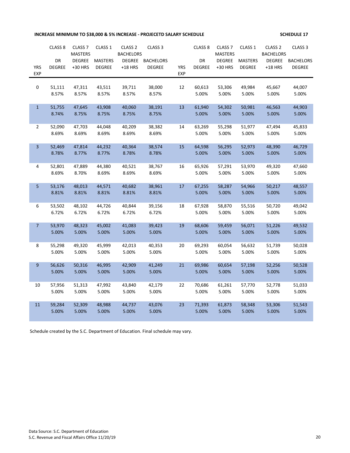# **INCREASE MINIMUM TO \$38,000 & 5% INCREASE - PROJECETD SALARY SCHEDULE SERVICE SCHEDULE 17**

|                  | CLASS <sub>8</sub> | CLASS <sub>7</sub> | CLASS <sub>1</sub> | CLASS <sub>2</sub> | CLASS <sub>3</sub> |            | CLASS <sub>8</sub> | CLASS <sub>7</sub> | CLASS 1        | CLASS <sub>2</sub> | CLASS <sub>3</sub> |
|------------------|--------------------|--------------------|--------------------|--------------------|--------------------|------------|--------------------|--------------------|----------------|--------------------|--------------------|
|                  |                    | <b>MASTERS</b>     |                    | <b>BACHELORS</b>   |                    |            |                    | <b>MASTERS</b>     |                | <b>BACHELORS</b>   |                    |
|                  | DR                 | <b>DEGREE</b>      | <b>MASTERS</b>     | <b>DEGREE</b>      | <b>BACHELORS</b>   |            | DR                 | <b>DEGREE</b>      | <b>MASTERS</b> | <b>DEGREE</b>      | <b>BACHELORS</b>   |
| <b>YRS</b>       | <b>DEGREE</b>      | +30 HRS            | <b>DEGREE</b>      | $+18$ HRS          | <b>DEGREE</b>      | <b>YRS</b> | <b>DEGREE</b>      | +30 HRS            | <b>DEGREE</b>  | $+18$ HRS          | <b>DEGREE</b>      |
| <b>EXP</b>       |                    |                    |                    |                    |                    | <b>EXP</b> |                    |                    |                |                    |                    |
|                  |                    |                    |                    |                    |                    |            |                    |                    |                |                    |                    |
| 0                | 51,111             | 47,311             | 43,511             | 39,711             | 38,000             | 12         | 60,613             | 53,306             | 49,984         | 45,667             | 44,007             |
|                  | 8.57%              | 8.57%              | 8.57%              | 8.57%              | 8.57%              |            | 5.00%              | 5.00%              | 5.00%          | 5.00%              | 5.00%              |
| $\mathbf{1}$     | 51,755             | 47,645             | 43,908             | 40,060             | 38,191             | 13         | 61,940             | 54,302             | 50,981         | 46,563             | 44,903             |
|                  | 8.74%              | 8.75%              | 8.75%              | 8.75%              | 8.75%              |            | 5.00%              | 5.00%              | 5.00%          | 5.00%              | 5.00%              |
|                  |                    |                    |                    |                    |                    |            |                    |                    |                |                    |                    |
| $\overline{2}$   | 52,090             | 47,703             | 44,048             | 40,209             | 38,382             | 14         | 63,269             | 55,298             | 51,977         | 47,494             | 45,833             |
|                  | 8.69%              | 8.69%              | 8.69%              | 8.69%              | 8.69%              |            | 5.00%              | 5.00%              | 5.00%          | 5.00%              | 5.00%              |
|                  |                    |                    |                    |                    |                    |            |                    |                    |                |                    |                    |
| 3                | 52,469             | 47,814             | 44,232             | 40,364             | 38,574             | 15         | 64,598             | 56,295             | 52,973         | 48,390             | 46,729             |
|                  | 8.78%              | 8.77%              | 8.77%              | 8.78%              | 8.78%              |            | 5.00%              | 5.00%              | 5.00%          | 5.00%              | 5.00%              |
|                  |                    |                    |                    |                    |                    |            |                    |                    |                |                    |                    |
| 4                | 52,801             | 47,889             | 44,380             | 40,521             | 38,767             | 16         | 65,926             | 57,291             | 53,970         | 49,320             | 47,660             |
|                  | 8.69%              | 8.70%              | 8.69%              | 8.69%              | 8.69%              |            | 5.00%              | 5.00%              | 5.00%          | 5.00%              | 5.00%              |
|                  |                    | 48,013             | 44,571             | 40,682             | 38,961             | 17         |                    |                    | 54,966         | 50,217             | 48,557             |
| 5                | 53,176<br>8.81%    | 8.81%              | 8.81%              | 8.81%              | 8.81%              |            | 67,255<br>5.00%    | 58,287<br>5.00%    | 5.00%          | 5.00%              | 5.00%              |
|                  |                    |                    |                    |                    |                    |            |                    |                    |                |                    |                    |
| 6                | 53,502             | 48,102             | 44,726             | 40,844             | 39,156             | 18         | 67,928             | 58,870             | 55,516         | 50,720             | 49,042             |
|                  | 6.72%              | 6.72%              | 6.72%              | 6.72%              | 6.72%              |            | 5.00%              | 5.00%              | 5.00%          | 5.00%              | 5.00%              |
|                  |                    |                    |                    |                    |                    |            |                    |                    |                |                    |                    |
| $\overline{7}$   | 53,970             | 48,323             | 45,002             | 41,083             | 39,423             | 19         | 68,606             | 59,459             | 56,071         | 51,226             | 49,532             |
|                  | 5.00%              | 5.00%              | 5.00%              | 5.00%              | 5.00%              |            | 5.00%              | 5.00%              | 5.00%          | 5.00%              | 5.00%              |
|                  |                    |                    |                    |                    |                    |            |                    |                    |                |                    |                    |
| 8                | 55,298             | 49,320             | 45,999             | 42,013             | 40,353             | 20         | 69,293             | 60,054             | 56,632         | 51,739             | 50,028             |
|                  | 5.00%              | 5.00%              | 5.00%              | 5.00%              | 5.00%              |            | 5.00%              | 5.00%              | 5.00%          | 5.00%              | 5.00%              |
|                  |                    |                    |                    |                    |                    |            |                    |                    |                |                    |                    |
| $\boldsymbol{9}$ | 56,626             | 50,316             | 46,995             | 42,909             | 41,249             | 21         | 69,986             | 60,654             | 57,198         | 52,256             | 50,528             |
|                  | 5.00%              | 5.00%              | 5.00%              | 5.00%              | 5.00%              |            | 5.00%              | 5.00%              | 5.00%          | 5.00%              | 5.00%              |
|                  |                    |                    |                    |                    |                    |            |                    |                    |                |                    |                    |
| $10\,$           | 57,956             | 51,313             | 47,992             | 43,840             | 42,179             | 22         | 70,686             | 61,261             | 57,770         | 52,778             | 51,033             |
|                  | 5.00%              | 5.00%              | 5.00%              | 5.00%              | 5.00%              |            | 5.00%              | 5.00%              | 5.00%          | 5.00%              | 5.00%              |
| 11               | 59,284             | 52,309             | 48,988             | 44,737             | 43,076             | 23         | 71,393             | 61,873             | 58,348         | 53,306             | 51,543             |
|                  | 5.00%              | 5.00%              | 5.00%              | 5.00%              | 5.00%              |            | 5.00%              | 5.00%              | 5.00%          | 5.00%              | 5.00%              |
|                  |                    |                    |                    |                    |                    |            |                    |                    |                |                    |                    |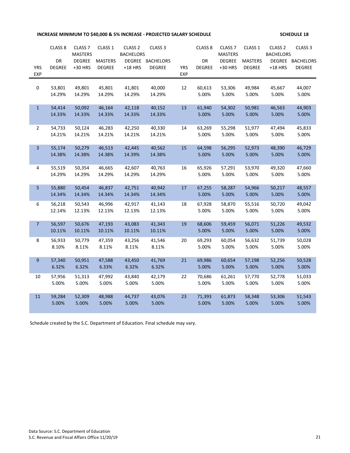# **INCREASE MINIMUM TO \$40,000 & 5% INCREASE - PROJECTED SALARY SCHEDULE SCHEDULE 18**

|                 | CLASS <sub>8</sub> | CLASS <sub>7</sub>              | CLASS <sub>1</sub> | CLASS <sub>2</sub> | CLASS <sub>3</sub> |            | CLASS <sub>8</sub> | CLASS <sub>7</sub>              | CLASS 1         | CLASS <sub>2</sub>                | CLASS <sub>3</sub> |
|-----------------|--------------------|---------------------------------|--------------------|--------------------|--------------------|------------|--------------------|---------------------------------|-----------------|-----------------------------------|--------------------|
|                 | DR                 | <b>MASTERS</b><br><b>DEGREE</b> | <b>MASTERS</b>     | <b>BACHELORS</b>   | DEGREE BACHELORS   |            | DR                 | <b>MASTERS</b><br><b>DEGREE</b> | <b>MASTERS</b>  | <b>BACHELORS</b><br><b>DEGREE</b> | <b>BACHELORS</b>   |
| <b>YRS</b>      | <b>DEGREE</b>      | +30 HRS                         | <b>DEGREE</b>      | $+18$ HRS          | <b>DEGREE</b>      | <b>YRS</b> | <b>DEGREE</b>      | +30 HRS                         | <b>DEGREE</b>   | $+18$ HRS                         | <b>DEGREE</b>      |
| <b>EXP</b>      |                    |                                 |                    |                    |                    | <b>EXP</b> |                    |                                 |                 |                                   |                    |
| 0               | 53,801             | 49,801                          | 45,801             | 41,801             | 40,000             | 12         | 60,613             | 53,306                          | 49,984          | 45,667                            | 44,007             |
|                 | 14.29%             | 14.29%                          | 14.29%             | 14.29%             | 14.29%             |            | 5.00%              | 5.00%                           | 5.00%           | 5.00%                             | 5.00%              |
|                 |                    |                                 |                    |                    |                    |            |                    |                                 |                 |                                   |                    |
| $\mathbf{1}$    | 54,414             | 50,092                          | 46,164             | 42,118             | 40,152             | 13         | 61,940             | 54,302                          | 50,981          | 46,563                            | 44,903             |
|                 | 14.33%             | 14.33%                          | 14.33%             | 14.33%             | 14.33%             |            | 5.00%              | 5.00%                           | 5.00%           | 5.00%                             | 5.00%              |
| $\overline{2}$  | 54,733             | 50,124                          | 46,283             | 42,250             | 40,330             | 14         | 63,269             | 55,298                          | 51,977          | 47,494                            | 45,833             |
|                 | 14.21%             | 14.21%                          | 14.21%             | 14.21%             | 14.21%             |            | 5.00%              | 5.00%                           | 5.00%           | 5.00%                             | 5.00%              |
|                 |                    |                                 |                    |                    |                    |            |                    |                                 |                 |                                   |                    |
| $\overline{3}$  | 55,174             | 50,279                          | 46,513             | 42,445             | 40,562             | 15         | 64,598             | 56,295                          | 52,973          | 48,390                            | 46,729             |
|                 | 14.38%             | 14.38%                          | 14.38%             | 14.39%             | 14.38%             |            | 5.00%              | 5.00%                           | 5.00%           | 5.00%                             | 5.00%              |
|                 |                    |                                 |                    |                    |                    | 16         |                    |                                 |                 |                                   | 47,660             |
| 4               | 55,519<br>14.29%   | 50,354<br>14.29%                | 46,665<br>14.29%   | 42,607<br>14.29%   | 40,763<br>14.29%   |            | 65,926<br>5.00%    | 57,291<br>5.00%                 | 53,970<br>5.00% | 49,320<br>5.00%                   | 5.00%              |
|                 |                    |                                 |                    |                    |                    |            |                    |                                 |                 |                                   |                    |
| 5               | 55,880             | 50,454                          | 46,837             | 42,751             | 40,942             | 17         | 67,255             | 58,287                          | 54,966          | 50,217                            | 48,557             |
|                 | 14.34%             | 14.34%                          | 14.34%             | 14.34%             | 14.34%             |            | 5.00%              | 5.00%                           | 5.00%           | 5.00%                             | 5.00%              |
| 6               | 56,218             | 50,543                          | 46,996             | 42,917             | 41,143             | 18         | 67,928             | 58,870                          | 55,516          | 50,720                            | 49,042             |
|                 | 12.14%             | 12.13%                          | 12.13%             | 12.13%             | 12.13%             |            | 5.00%              | 5.00%                           | 5.00%           | 5.00%                             | 5.00%              |
|                 |                    |                                 |                    |                    |                    |            |                    |                                 |                 |                                   |                    |
| $7\overline{ }$ | 56,597             | 50,676                          | 47,193             | 43,083             | 41,343             | 19         | 68,606             | 59,459                          | 56,071          | 51,226                            | 49,532             |
|                 | 10.11%             | 10.11%                          | 10.11%             | 10.11%             | 10.11%             |            | 5.00%              | 5.00%                           | 5.00%           | 5.00%                             | 5.00%              |
| 8               | 56,933             | 50,779                          | 47,359             | 43,256             | 41,546             | 20         | 69,293             | 60,054                          | 56,632          | 51,739                            | 50,028             |
|                 | 8.10%              | 8.11%                           | 8.11%              | 8.11%              | 8.11%              |            | 5.00%              | 5.00%                           | 5.00%           | 5.00%                             | 5.00%              |
|                 |                    |                                 |                    |                    |                    |            |                    |                                 |                 |                                   |                    |
| 9               | 57,340<br>6.32%    | 50,951<br>6.32%                 | 47,588<br>6.33%    | 43,450<br>6.32%    | 41,769<br>6.32%    | 21         | 69,986<br>5.00%    | 60,654<br>5.00%                 | 57,198<br>5.00% | 52,256<br>5.00%                   | 50,528<br>5.00%    |
|                 |                    |                                 |                    |                    |                    |            |                    |                                 |                 |                                   |                    |
| 10              | 57,956             | 51,313                          | 47,992             | 43,840             | 42,179             | 22         | 70,686             | 61,261                          | 57,770          | 52,778                            | 51,033             |
|                 | 5.00%              | 5.00%                           | 5.00%              | 5.00%              | 5.00%              |            | 5.00%              | 5.00%                           | 5.00%           | 5.00%                             | 5.00%              |
| 11              | 59,284             | 52,309                          | 48,988             | 44,737             | 43,076             | 23         | 71,393             | 61,873                          | 58,348          | 53,306                            | 51,543             |
|                 | 5.00%              | 5.00%                           | 5.00%              | 5.00%              | 5.00%              |            | 5.00%              | 5.00%                           | 5.00%           | 5.00%                             | 5.00%              |
|                 |                    |                                 |                    |                    |                    |            |                    |                                 |                 |                                   |                    |